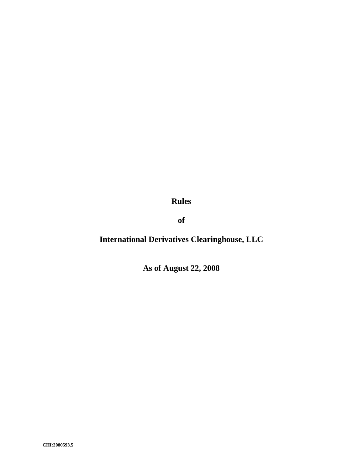**Rules** 

**of** 

# **International Derivatives Clearinghouse, LLC**

**As of August 22, 2008**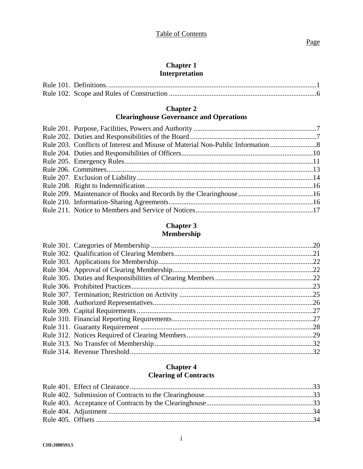# **Chapter 1 Interpretation**

# **Chapter 2**

# **Clearinghouse Governance and Operations**

| Rule 203. Conflicts of Interest and Misuse of Material Non-Public Information |  |
|-------------------------------------------------------------------------------|--|
|                                                                               |  |
|                                                                               |  |
|                                                                               |  |
|                                                                               |  |
|                                                                               |  |
|                                                                               |  |
|                                                                               |  |
|                                                                               |  |
|                                                                               |  |

# **Chapter 3 Membership**

# **Chapter 4 Clearing of Contracts**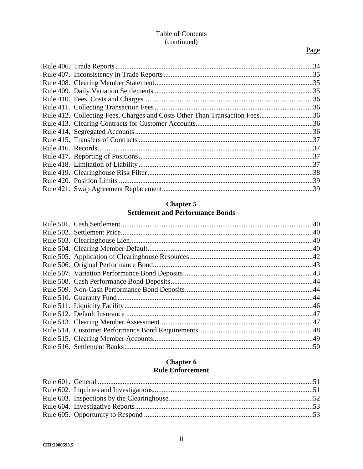# **Table of Contents** (continued)

# Page

| Rule 412. Collecting Fees, Charges and Costs Other Than Transaction Fees36 |  |
|----------------------------------------------------------------------------|--|
|                                                                            |  |
|                                                                            |  |
|                                                                            |  |
|                                                                            |  |
|                                                                            |  |
|                                                                            |  |
|                                                                            |  |
|                                                                            |  |
|                                                                            |  |
|                                                                            |  |

# **Chapter 5 Settlement and Performance Bonds**

# **Chapter 6 Rule Enforcement**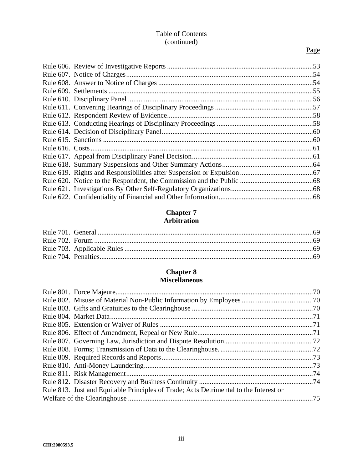# Table of Contents (continued)

# Page

### **Chapter 7 Arbitration**

# **Chapter 8 Miscellaneous**

| Rule 813. Just and Equitable Principles of Trade; Acts Detrimental to the Interest or |  |
|---------------------------------------------------------------------------------------|--|
|                                                                                       |  |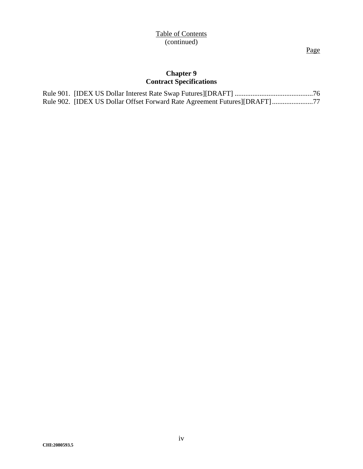Page

# **Chapter 9 Contract Specifications**

| Rule 902. [IDEX US Dollar Offset Forward Rate Agreement Futures][DRAFT]77 |  |
|---------------------------------------------------------------------------|--|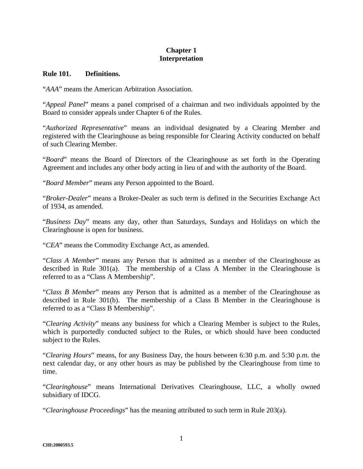# **Chapter 1 Interpretation**

#### **Rule 101. Definitions.**

"*AAA*" means the American Arbitration Association.

"*Appeal Panel*" means a panel comprised of a chairman and two individuals appointed by the Board to consider appeals under Chapter 6 of the Rules.

"*Authorized Representative*" means an individual designated by a Clearing Member and registered with the Clearinghouse as being responsible for Clearing Activity conducted on behalf of such Clearing Member.

"*Board*" means the Board of Directors of the Clearinghouse as set forth in the Operating Agreement and includes any other body acting in lieu of and with the authority of the Board.

"*Board Member*" means any Person appointed to the Board.

"*Broker-Dealer*" means a Broker-Dealer as such term is defined in the Securities Exchange Act of 1934, as amended.

"*Business Day*" means any day, other than Saturdays, Sundays and Holidays on which the Clearinghouse is open for business.

"*CEA*" means the Commodity Exchange Act, as amended.

"*Class A Member*" means any Person that is admitted as a member of the Clearinghouse as described in Rule 301(a). The membership of a Class A Member in the Clearinghouse is referred to as a "Class A Membership".

"*Class B Member*" means any Person that is admitted as a member of the Clearinghouse as described in Rule 301(b). The membership of a Class B Member in the Clearinghouse is referred to as a "Class B Membership".

"*Clearing Activity*" means any business for which a Clearing Member is subject to the Rules, which is purportedly conducted subject to the Rules, or which should have been conducted subject to the Rules.

"*Clearing Hours*" means, for any Business Day, the hours between 6:30 p.m. and 5:30 p.m. the next calendar day, or any other hours as may be published by the Clearinghouse from time to time.

"*Clearinghouse*" means International Derivatives Clearinghouse, LLC, a wholly owned subsidiary of IDCG.

"*Clearinghouse Proceedings*" has the meaning attributed to such term in Rule 203(a).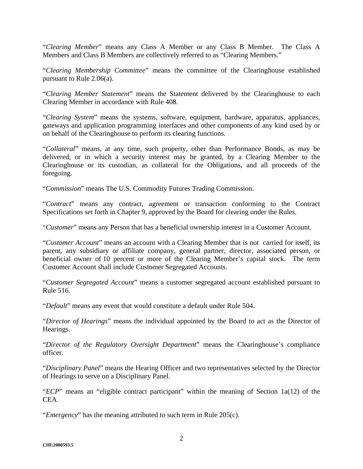"*Clearing Member*" means any Class A Member or any Class B Member. The Class A Members and Class B Members are collectively referred to as "Clearing Members."

"*Clearing Membership Committee*" means the committee of the Clearinghouse established pursuant to Rule 2.06(a).

"*Clearing Member Statement*" means the Statement delivered by the Clearinghouse to each Clearing Member in accordance with Rule 408.

"*Clearing System*" means the systems, software, equipment, hardware, apparatus, appliances, gateways and application programming interfaces and other components of any kind used by or on behalf of the Clearinghouse to perform its clearing functions.

"*Collateral*" means, at any time, such property, other than Performance Bonds, as may be delivered, or in which a security interest may be granted, by a Clearing Member to the Clearinghouse or its custodian, as collateral for the Obligations, and all proceeds of the foregoing.

"*Commission*" means The U.S. Commodity Futures Trading Commission.

"*Contract*" means any contract, agreement or transaction conforming to the Contract Specifications set forth in Chapter 9, approved by the Board for clearing under the Rules.

"*Customer*" means any Person that has a beneficial ownership interest in a Customer Account.

"*Customer Account*" means an account with a Clearing Member that is not carried for itself, its parent, any subsidiary or affiliate company, general partner, director, associated person, or beneficial owner of 10 percent or more of the Clearing Member's capital stock. The term Customer Account shall include Customer Segregated Accounts.

"*Customer Segregated Account*" means a customer segregated account established pursuant to Rule 516.

"*Default*" means any event that would constitute a default under Rule 504.

"*Director of Hearings*" means the individual appointed by the Board to act as the Director of Hearings.

"*Director of the Regulatory Oversight Department*" means the Clearinghouse's compliance officer.

"*Disciplinary Panel*" means the Hearing Officer and two representatives selected by the Director of Hearings to serve on a Disciplinary Panel.

"*ECP*" means an "eligible contract participant" within the meaning of Section 1a(12) of the CEA.

"*Emergency*" has the meaning attributed to such term in Rule 205(c).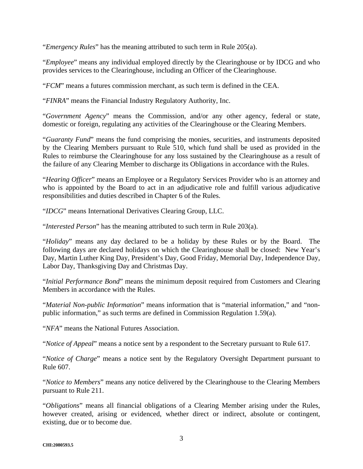"*Emergency Rules*" has the meaning attributed to such term in Rule 205(a).

"*Employee*" means any individual employed directly by the Clearinghouse or by IDCG and who provides services to the Clearinghouse, including an Officer of the Clearinghouse.

"*FCM*" means a futures commission merchant, as such term is defined in the CEA.

"*FINRA*" means the Financial Industry Regulatory Authority, Inc.

"*Government Agency*" means the Commission, and/or any other agency, federal or state, domestic or foreign, regulating any activities of the Clearinghouse or the Clearing Members.

"*Guaranty Fund*" means the fund comprising the monies, securities, and instruments deposited by the Clearing Members pursuant to Rule 510, which fund shall be used as provided in the Rules to reimburse the Clearinghouse for any loss sustained by the Clearinghouse as a result of the failure of any Clearing Member to discharge its Obligations in accordance with the Rules.

"*Hearing Officer*" means an Employee or a Regulatory Services Provider who is an attorney and who is appointed by the Board to act in an adjudicative role and fulfill various adjudicative responsibilities and duties described in Chapter 6 of the Rules.

"*IDCG*" means International Derivatives Clearing Group, LLC.

"*Interested Person*" has the meaning attributed to such term in Rule 203(a).

"*Holiday*" means any day declared to be a holiday by these Rules or by the Board. The following days are declared holidays on which the Clearinghouse shall be closed: New Year's Day, Martin Luther King Day, President's Day, Good Friday, Memorial Day, Independence Day, Labor Day, Thanksgiving Day and Christmas Day.

"*Initial Performance Bond*" means the minimum deposit required from Customers and Clearing Members in accordance with the Rules.

"*Material Non-public Information*" means information that is "material information," and "nonpublic information," as such terms are defined in Commission Regulation 1.59(a).

"*NFA*" means the National Futures Association.

"*Notice of Appeal*" means a notice sent by a respondent to the Secretary pursuant to Rule 617.

"*Notice of Charge*" means a notice sent by the Regulatory Oversight Department pursuant to Rule 607.

"*Notice to Members*" means any notice delivered by the Clearinghouse to the Clearing Members pursuant to Rule 211.

"*Obligations*" means all financial obligations of a Clearing Member arising under the Rules, however created, arising or evidenced, whether direct or indirect, absolute or contingent, existing, due or to become due.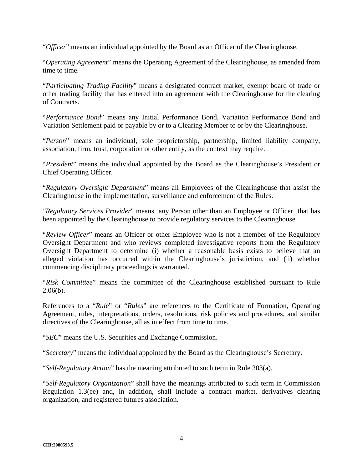"*Officer*" means an individual appointed by the Board as an Officer of the Clearinghouse.

"*Operating Agreement*" means the Operating Agreement of the Clearinghouse, as amended from time to time.

"*Participating Trading Facility*" means a designated contract market, exempt board of trade or other trading facility that has entered into an agreement with the Clearinghouse for the clearing of Contracts.

"*Performance Bond*" means any Initial Performance Bond, Variation Performance Bond and Variation Settlement paid or payable by or to a Clearing Member to or by the Clearinghouse.

"*Person*" means an individual, sole proprietorship, partnership, limited liability company, association, firm, trust, corporation or other entity, as the context may require.

"*President*" means the individual appointed by the Board as the Clearinghouse's President or Chief Operating Officer.

"*Regulatory Oversight Department*" means all Employees of the Clearinghouse that assist the Clearinghouse in the implementation, surveillance and enforcement of the Rules.

*"Regulatory Services Provider*" means any Person other than an Employee or Officer that has been appointed by the Clearinghouse to provide regulatory services to the Clearinghouse.

"*Review Officer*" means an Officer or other Employee who is not a member of the Regulatory Oversight Department and who reviews completed investigative reports from the Regulatory Oversight Department to determine (i) whether a reasonable basis exists to believe that an alleged violation has occurred within the Clearinghouse's jurisdiction, and (ii) whether commencing disciplinary proceedings is warranted.

"*Risk Committee*" means the committee of the Clearinghouse established pursuant to Rule  $2.06(b)$ .

References to a "*Rule*" or "*Rules*" are references to the Certificate of Formation, Operating Agreement, rules, interpretations, orders, resolutions, risk policies and procedures, and similar directives of the Clearinghouse, all as in effect from time to time.

"*SEC*" means the U.S. Securities and Exchange Commission.

"*Secretary*" means the individual appointed by the Board as the Clearinghouse's Secretary.

"*Self-Regulatory Action*" has the meaning attributed to such term in Rule 203(a).

"*Self-Regulatory Organization*" shall have the meanings attributed to such term in Commission Regulation 1.3(ee) and, in addition, shall include a contract market, derivatives clearing organization, and registered futures association.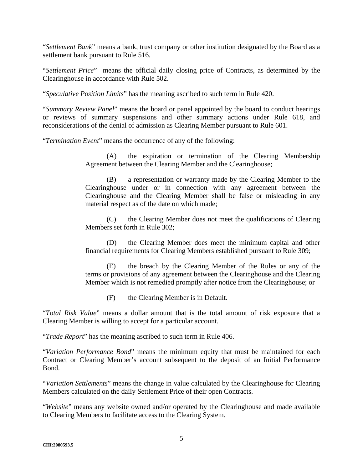"*Settlement Bank*" means a bank, trust company or other institution designated by the Board as a settlement bank pursuant to Rule 516.

"*Settlement Price*" means the official daily closing price of Contracts, as determined by the Clearinghouse in accordance with Rule 502.

"*Speculative Position Limits*" has the meaning ascribed to such term in Rule 420.

"*Summary Review Panel*" means the board or panel appointed by the board to conduct hearings or reviews of summary suspensions and other summary actions under Rule 618, and reconsiderations of the denial of admission as Clearing Member pursuant to Rule 601.

"*Termination Event*" means the occurrence of any of the following:

(A) the expiration or termination of the Clearing Membership Agreement between the Clearing Member and the Clearinghouse;

(B) a representation or warranty made by the Clearing Member to the Clearinghouse under or in connection with any agreement between the Clearinghouse and the Clearing Member shall be false or misleading in any material respect as of the date on which made;

(C) the Clearing Member does not meet the qualifications of Clearing Members set forth in Rule 302;

(D) the Clearing Member does meet the minimum capital and other financial requirements for Clearing Members established pursuant to Rule 309;

(E) the breach by the Clearing Member of the Rules or any of the terms or provisions of any agreement between the Clearinghouse and the Clearing Member which is not remedied promptly after notice from the Clearinghouse; or

(F) the Clearing Member is in Default.

"*Total Risk Value*" means a dollar amount that is the total amount of risk exposure that a Clearing Member is willing to accept for a particular account.

"*Trade Report*" has the meaning ascribed to such term in Rule 406.

"*Variation Performance Bond*" means the minimum equity that must be maintained for each Contract or Clearing Member's account subsequent to the deposit of an Initial Performance Bond.

"*Variation Settlements*" means the change in value calculated by the Clearinghouse for Clearing Members calculated on the daily Settlement Price of their open Contracts.

"*Website*" means any website owned and/or operated by the Clearinghouse and made available to Clearing Members to facilitate access to the Clearing System.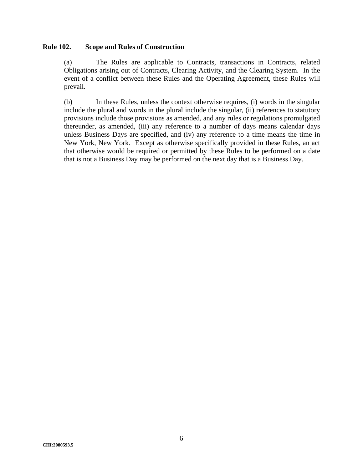#### **Rule 102. Scope and Rules of Construction**

(a) The Rules are applicable to Contracts, transactions in Contracts, related Obligations arising out of Contracts, Clearing Activity, and the Clearing System. In the event of a conflict between these Rules and the Operating Agreement, these Rules will prevail.

(b) In these Rules, unless the context otherwise requires, (i) words in the singular include the plural and words in the plural include the singular, (ii) references to statutory provisions include those provisions as amended, and any rules or regulations promulgated thereunder, as amended, (iii) any reference to a number of days means calendar days unless Business Days are specified, and (iv) any reference to a time means the time in New York, New York. Except as otherwise specifically provided in these Rules, an act that otherwise would be required or permitted by these Rules to be performed on a date that is not a Business Day may be performed on the next day that is a Business Day.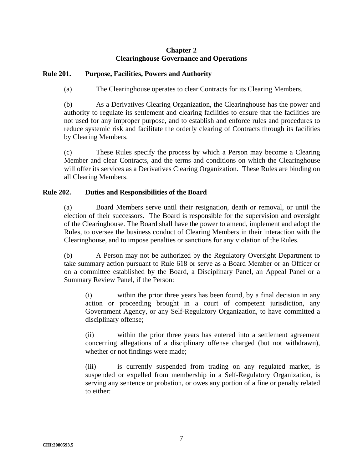### **Chapter 2 Clearinghouse Governance and Operations**

### **Rule 201. Purpose, Facilities, Powers and Authority**

(a) The Clearinghouse operates to clear Contracts for its Clearing Members.

(b) As a Derivatives Clearing Organization, the Clearinghouse has the power and authority to regulate its settlement and clearing facilities to ensure that the facilities are not used for any improper purpose, and to establish and enforce rules and procedures to reduce systemic risk and facilitate the orderly clearing of Contracts through its facilities by Clearing Members.

(c) These Rules specify the process by which a Person may become a Clearing Member and clear Contracts, and the terms and conditions on which the Clearinghouse will offer its services as a Derivatives Clearing Organization. These Rules are binding on all Clearing Members.

#### **Rule 202. Duties and Responsibilities of the Board**

(a) Board Members serve until their resignation, death or removal, or until the election of their successors. The Board is responsible for the supervision and oversight of the Clearinghouse. The Board shall have the power to amend, implement and adopt the Rules, to oversee the business conduct of Clearing Members in their interaction with the Clearinghouse, and to impose penalties or sanctions for any violation of the Rules.

(b) A Person may not be authorized by the Regulatory Oversight Department to take summary action pursuant to Rule 618 or serve as a Board Member or an Officer or on a committee established by the Board, a Disciplinary Panel, an Appeal Panel or a Summary Review Panel, if the Person:

(i) within the prior three years has been found, by a final decision in any action or proceeding brought in a court of competent jurisdiction, any Government Agency, or any Self-Regulatory Organization, to have committed a disciplinary offense;

(ii) within the prior three years has entered into a settlement agreement concerning allegations of a disciplinary offense charged (but not withdrawn), whether or not findings were made;

(iii) is currently suspended from trading on any regulated market, is suspended or expelled from membership in a Self-Regulatory Organization, is serving any sentence or probation, or owes any portion of a fine or penalty related to either: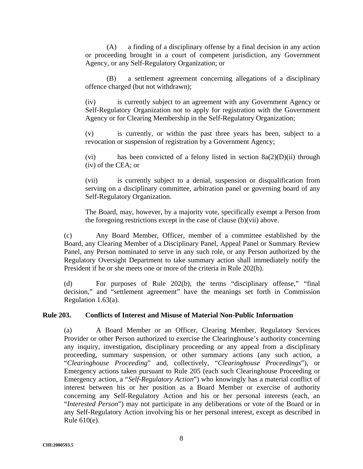(A) a finding of a disciplinary offense by a final decision in any action or proceeding brought in a court of competent jurisdiction, any Government Agency, or any Self-Regulatory Organization; or

(B) a settlement agreement concerning allegations of a disciplinary offence charged (but not withdrawn);

(iv) is currently subject to an agreement with any Government Agency or Self-Regulatory Organization not to apply for registration with the Government Agency or for Clearing Membership in the Self-Regulatory Organization;

(v) is currently, or within the past three years has been, subject to a revocation or suspension of registration by a Government Agency;

(vi) has been convicted of a felony listed in section 8a(2)(D)(ii) through (iv) of the CEA; or

(vii) is currently subject to a denial, suspension or disqualification from serving on a disciplinary committee, arbitration panel or governing board of any Self-Regulatory Organization.

The Board, may, however, by a majority vote, specifically exempt a Person from the foregoing restrictions except in the case of clause (b)(vii) above.

(c) Any Board Member, Officer, member of a committee established by the Board, any Clearing Member of a Disciplinary Panel, Appeal Panel or Summary Review Panel, any Person nominated to serve in any such role, or any Person authorized by the Regulatory Oversight Department to take summary action shall immediately notify the President if he or she meets one or more of the criteria in Rule 202(b).

(d) For purposes of Rule 202(b), the terms "disciplinary offense," "final decision," and "settlement agreement" have the meanings set forth in Commission Regulation 1.63(a).

#### **Rule 203. Conflicts of Interest and Misuse of Material Non-Public Information**

(a) A Board Member or an Officer, Clearing Member, Regulatory Services Provider or other Person authorized to exercise the Clearinghouse's authority concerning any inquiry, investigation, disciplinary proceeding or any appeal from a disciplinary proceeding, summary suspension, or other summary actions (any such action, a "*Clearinghouse Proceeding*" and, collectively, "*Clearinghouse Proceedings*"), or Emergency actions taken pursuant to Rule 205 (each such Clearinghouse Proceeding or Emergency action, a "*Self-Regulatory Action*") who knowingly has a material conflict of interest between his or her position as a Board Member or exercise of authority concerning any Self-Regulatory Action and his or her personal interests (each, an "*Interested Person*") may not participate in any deliberations or vote of the Board or in any Self-Regulatory Action involving his or her personal interest, except as described in Rule 610(e).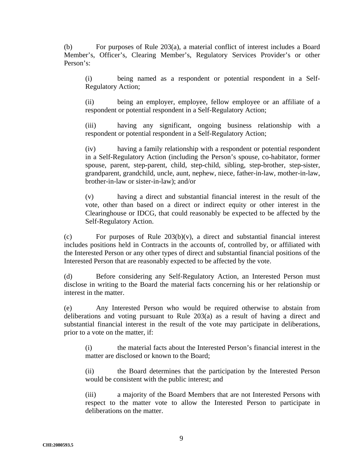(b) For purposes of Rule 203(a), a material conflict of interest includes a Board Member's, Officer's, Clearing Member's, Regulatory Services Provider's or other Person's:

(i) being named as a respondent or potential respondent in a Self-Regulatory Action;

(ii) being an employer, employee, fellow employee or an affiliate of a respondent or potential respondent in a Self-Regulatory Action;

(iii) having any significant, ongoing business relationship with a respondent or potential respondent in a Self-Regulatory Action;

(iv) having a family relationship with a respondent or potential respondent in a Self-Regulatory Action (including the Person's spouse, co-habitator, former spouse, parent, step-parent, child, step-child, sibling, step-brother, step-sister, grandparent, grandchild, uncle, aunt, nephew, niece, father-in-law, mother-in-law, brother-in-law or sister-in-law); and/or

(v) having a direct and substantial financial interest in the result of the vote, other than based on a direct or indirect equity or other interest in the Clearinghouse or IDCG, that could reasonably be expected to be affected by the Self-Regulatory Action.

(c) For purposes of Rule 203(b)(v), a direct and substantial financial interest includes positions held in Contracts in the accounts of, controlled by, or affiliated with the Interested Person or any other types of direct and substantial financial positions of the Interested Person that are reasonably expected to be affected by the vote.

(d) Before considering any Self-Regulatory Action, an Interested Person must disclose in writing to the Board the material facts concerning his or her relationship or interest in the matter.

(e) Any Interested Person who would be required otherwise to abstain from deliberations and voting pursuant to Rule 203(a) as a result of having a direct and substantial financial interest in the result of the vote may participate in deliberations, prior to a vote on the matter, if:

(i) the material facts about the Interested Person's financial interest in the matter are disclosed or known to the Board;

(ii) the Board determines that the participation by the Interested Person would be consistent with the public interest; and

(iii) a majority of the Board Members that are not Interested Persons with respect to the matter vote to allow the Interested Person to participate in deliberations on the matter.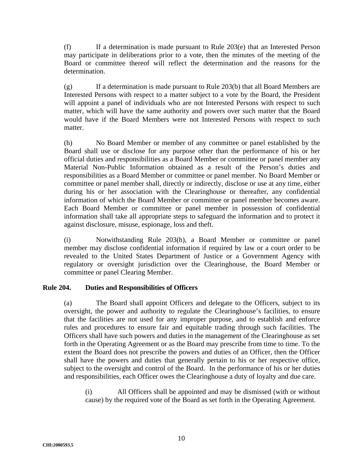(f) If a determination is made pursuant to Rule  $203(e)$  that an Interested Person may participate in deliberations prior to a vote, then the minutes of the meeting of the Board or committee thereof will reflect the determination and the reasons for the determination.

(g) If a determination is made pursuant to Rule 203(b) that all Board Members are Interested Persons with respect to a matter subject to a vote by the Board, the President will appoint a panel of individuals who are not Interested Persons with respect to such matter, which will have the same authority and powers over such matter that the Board would have if the Board Members were not Interested Persons with respect to such matter.

(h) No Board Member or member of any committee or panel established by the Board shall use or disclose for any purpose other than the performance of his or her official duties and responsibilities as a Board Member or committee or panel member any Material Non-Public Information obtained as a result of the Person's duties and responsibilities as a Board Member or committee or panel member. No Board Member or committee or panel member shall, directly or indirectly, disclose or use at any time, either during his or her association with the Clearinghouse or thereafter, any confidential information of which the Board Member or committee or panel member becomes aware. Each Board Member or committee or panel member in possession of confidential information shall take all appropriate steps to safeguard the information and to protect it against disclosure, misuse, espionage, loss and theft.

(i) Notwithstanding Rule 203(h), a Board Member or committee or panel member may disclose confidential information if required by law or a court order to be revealed to the United States Department of Justice or a Government Agency with regulatory or oversight jurisdiction over the Clearinghouse, the Board Member or committee or panel Clearing Member.

# **Rule 204. Duties and Responsibilities of Officers**

(a) The Board shall appoint Officers and delegate to the Officers, subject to its oversight, the power and authority to regulate the Clearinghouse's facilities, to ensure that the facilities are not used for any improper purpose, and to establish and enforce rules and procedures to ensure fair and equitable trading through such facilities. The Officers shall have such powers and duties in the management of the Clearinghouse as set forth in the Operating Agreement or as the Board may prescribe from time to time. To the extent the Board does not prescribe the powers and duties of an Officer, then the Officer shall have the powers and duties that generally pertain to his or her respective office, subject to the oversight and control of the Board. In the performance of his or her duties and responsibilities, each Officer owes the Clearinghouse a duty of loyalty and due care.

(i) All Officers shall be appointed and may be dismissed (with or without cause) by the required vote of the Board as set forth in the Operating Agreement.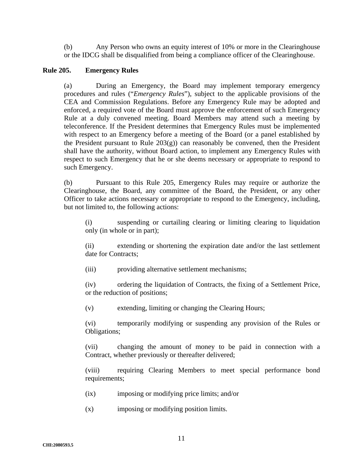(b) Any Person who owns an equity interest of 10% or more in the Clearinghouse or the IDCG shall be disqualified from being a compliance officer of the Clearinghouse.

#### **Rule 205. Emergency Rules**

(a) During an Emergency, the Board may implement temporary emergency procedures and rules ("*Emergency Rules*"), subject to the applicable provisions of the CEA and Commission Regulations. Before any Emergency Rule may be adopted and enforced, a required vote of the Board must approve the enforcement of such Emergency Rule at a duly convened meeting. Board Members may attend such a meeting by teleconference. If the President determines that Emergency Rules must be implemented with respect to an Emergency before a meeting of the Board (or a panel established by the President pursuant to Rule  $203(g)$  can reasonably be convened, then the President shall have the authority, without Board action, to implement any Emergency Rules with respect to such Emergency that he or she deems necessary or appropriate to respond to such Emergency.

(b) Pursuant to this Rule 205, Emergency Rules may require or authorize the Clearinghouse, the Board, any committee of the Board, the President, or any other Officer to take actions necessary or appropriate to respond to the Emergency, including, but not limited to, the following actions:

(i) suspending or curtailing clearing or limiting clearing to liquidation only (in whole or in part);

(ii) extending or shortening the expiration date and/or the last settlement date for Contracts;

(iii) providing alternative settlement mechanisms;

(iv) ordering the liquidation of Contracts, the fixing of a Settlement Price, or the reduction of positions;

(v) extending, limiting or changing the Clearing Hours;

(vi) temporarily modifying or suspending any provision of the Rules or Obligations;

(vii) changing the amount of money to be paid in connection with a Contract, whether previously or thereafter delivered;

(viii) requiring Clearing Members to meet special performance bond requirements;

- (ix) imposing or modifying price limits; and/or
- (x) imposing or modifying position limits.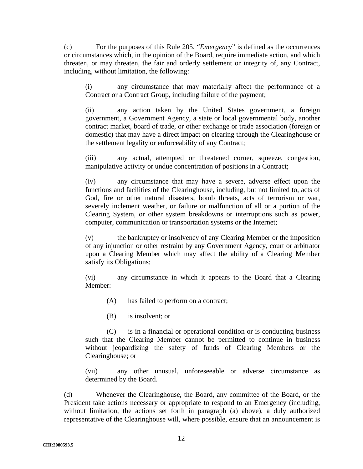(c) For the purposes of this Rule 205, "*Emergency*" is defined as the occurrences or circumstances which, in the opinion of the Board, require immediate action, and which threaten, or may threaten, the fair and orderly settlement or integrity of, any Contract, including, without limitation, the following:

(i) any circumstance that may materially affect the performance of a Contract or a Contract Group, including failure of the payment;

(ii) any action taken by the United States government, a foreign government, a Government Agency, a state or local governmental body, another contract market, board of trade, or other exchange or trade association (foreign or domestic) that may have a direct impact on clearing through the Clearinghouse or the settlement legality or enforceability of any Contract;

(iii) any actual, attempted or threatened corner, squeeze, congestion, manipulative activity or undue concentration of positions in a Contract;

(iv) any circumstance that may have a severe, adverse effect upon the functions and facilities of the Clearinghouse, including, but not limited to, acts of God, fire or other natural disasters, bomb threats, acts of terrorism or war, severely inclement weather, or failure or malfunction of all or a portion of the Clearing System, or other system breakdowns or interruptions such as power, computer, communication or transportation systems or the Internet;

(v) the bankruptcy or insolvency of any Clearing Member or the imposition of any injunction or other restraint by any Government Agency, court or arbitrator upon a Clearing Member which may affect the ability of a Clearing Member satisfy its Obligations;

(vi) any circumstance in which it appears to the Board that a Clearing Member:

(A) has failed to perform on a contract;

(B) is insolvent; or

(C) is in a financial or operational condition or is conducting business such that the Clearing Member cannot be permitted to continue in business without jeopardizing the safety of funds of Clearing Members or the Clearinghouse; or

(vii) any other unusual, unforeseeable or adverse circumstance as determined by the Board.

(d) Whenever the Clearinghouse, the Board, any committee of the Board, or the President take actions necessary or appropriate to respond to an Emergency (including, without limitation, the actions set forth in paragraph (a) above), a duly authorized representative of the Clearinghouse will, where possible, ensure that an announcement is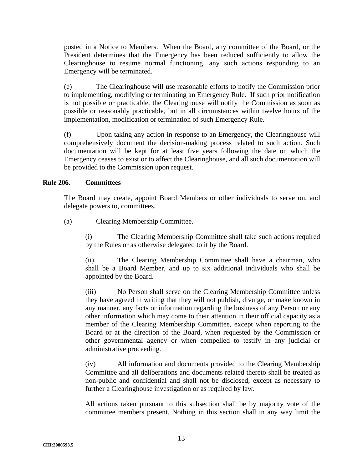posted in a Notice to Members. When the Board, any committee of the Board, or the President determines that the Emergency has been reduced sufficiently to allow the Clearinghouse to resume normal functioning, any such actions responding to an Emergency will be terminated.

(e) The Clearinghouse will use reasonable efforts to notify the Commission prior to implementing, modifying or terminating an Emergency Rule. If such prior notification is not possible or practicable, the Clearinghouse will notify the Commission as soon as possible or reasonably practicable, but in all circumstances within twelve hours of the implementation, modification or termination of such Emergency Rule.

(f) Upon taking any action in response to an Emergency, the Clearinghouse will comprehensively document the decision-making process related to such action. Such documentation will be kept for at least five years following the date on which the Emergency ceases to exist or to affect the Clearinghouse, and all such documentation will be provided to the Commission upon request.

#### **Rule 206. Committees**

The Board may create, appoint Board Members or other individuals to serve on, and delegate powers to, committees.

(a) Clearing Membership Committee.

(i) The Clearing Membership Committee shall take such actions required by the Rules or as otherwise delegated to it by the Board.

(ii) The Clearing Membership Committee shall have a chairman, who shall be a Board Member, and up to six additional individuals who shall be appointed by the Board.

(iii) No Person shall serve on the Clearing Membership Committee unless they have agreed in writing that they will not publish, divulge, or make known in any manner, any facts or information regarding the business of any Person or any other information which may come to their attention in their official capacity as a member of the Clearing Membership Committee, except when reporting to the Board or at the direction of the Board, when requested by the Commission or other governmental agency or when compelled to testify in any judicial or administrative proceeding.

(iv) All information and documents provided to the Clearing Membership Committee and all deliberations and documents related thereto shall be treated as non-public and confidential and shall not be disclosed, except as necessary to further a Clearinghouse investigation or as required by law.

All actions taken pursuant to this subsection shall be by majority vote of the committee members present. Nothing in this section shall in any way limit the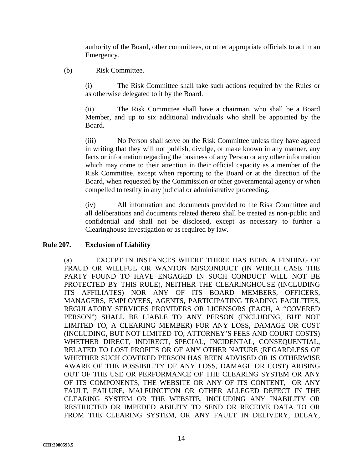authority of the Board, other committees, or other appropriate officials to act in an Emergency.

#### (b) Risk Committee.

(i) The Risk Committee shall take such actions required by the Rules or as otherwise delegated to it by the Board.

(ii) The Risk Committee shall have a chairman, who shall be a Board Member, and up to six additional individuals who shall be appointed by the Board.

(iii) No Person shall serve on the Risk Committee unless they have agreed in writing that they will not publish, divulge, or make known in any manner, any facts or information regarding the business of any Person or any other information which may come to their attention in their official capacity as a member of the Risk Committee, except when reporting to the Board or at the direction of the Board, when requested by the Commission or other governmental agency or when compelled to testify in any judicial or administrative proceeding.

(iv) All information and documents provided to the Risk Committee and all deliberations and documents related thereto shall be treated as non-public and confidential and shall not be disclosed, except as necessary to further a Clearinghouse investigation or as required by law.

#### **Rule 207. Exclusion of Liability**

(a) EXCEPT IN INSTANCES WHERE THERE HAS BEEN A FINDING OF FRAUD OR WILLFUL OR WANTON MISCONDUCT (IN WHICH CASE THE PARTY FOUND TO HAVE ENGAGED IN SUCH CONDUCT WILL NOT BE PROTECTED BY THIS RULE), NEITHER THE CLEARINGHOUSE (INCLUDING ITS AFFILIATES) NOR ANY OF ITS BOARD MEMBERS, OFFICERS, MANAGERS, EMPLOYEES, AGENTS, PARTICIPATING TRADING FACILITIES, REGULATORY SERVICES PROVIDERS OR LICENSORS (EACH, A "COVERED PERSON") SHALL BE LIABLE TO ANY PERSON (INCLUDING, BUT NOT LIMITED TO, A CLEARING MEMBER) FOR ANY LOSS, DAMAGE OR COST (INCLUDING, BUT NOT LIMITED TO, ATTORNEY'S FEES AND COURT COSTS) WHETHER DIRECT, INDIRECT, SPECIAL, INCIDENTAL, CONSEQUENTIAL, RELATED TO LOST PROFITS OR OF ANY OTHER NATURE (REGARDLESS OF WHETHER SUCH COVERED PERSON HAS BEEN ADVISED OR IS OTHERWISE AWARE OF THE POSSIBILITY OF ANY LOSS, DAMAGE OR COST) ARISING OUT OF THE USE OR PERFORMANCE OF THE CLEARING SYSTEM OR ANY OF ITS COMPONENTS, THE WEBSITE OR ANY OF ITS CONTENT, OR ANY FAULT, FAILURE, MALFUNCTION OR OTHER ALLEGED DEFECT IN THE CLEARING SYSTEM OR THE WEBSITE, INCLUDING ANY INABILITY OR RESTRICTED OR IMPEDED ABILITY TO SEND OR RECEIVE DATA TO OR FROM THE CLEARING SYSTEM, OR ANY FAULT IN DELIVERY, DELAY,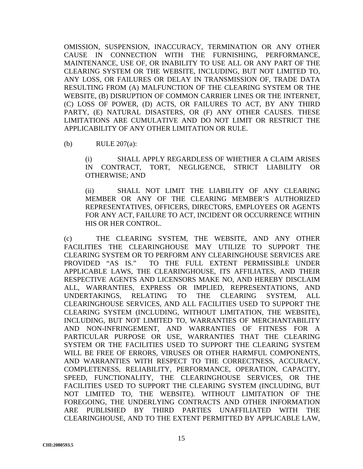OMISSION, SUSPENSION, INACCURACY, TERMINATION OR ANY OTHER CAUSE IN CONNECTION WITH THE FURNISHING, PERFORMANCE, MAINTENANCE, USE OF, OR INABILITY TO USE ALL OR ANY PART OF THE CLEARING SYSTEM OR THE WEBSITE, INCLUDING, BUT NOT LIMITED TO, ANY LOSS, OR FAILURES OR DELAY IN TRANSMISSION OF, TRADE DATA RESULTING FROM (A) MALFUNCTION OF THE CLEARING SYSTEM OR THE WEBSITE, (B) DISRUPTION OF COMMON CARRIER LINES OR THE INTERNET, (C) LOSS OF POWER, (D) ACTS, OR FAILURES TO ACT, BY ANY THIRD PARTY, (E) NATURAL DISASTERS, OR (F) ANY OTHER CAUSES. THESE LIMITATIONS ARE CUMULATIVE AND DO NOT LIMIT OR RESTRICT THE APPLICABILITY OF ANY OTHER LIMITATION OR RULE.

(b) RULE 207(a):

(i) SHALL APPLY REGARDLESS OF WHETHER A CLAIM ARISES IN CONTRACT, TORT, NEGLIGENCE, STRICT LIABILITY OR OTHERWISE; AND

(ii) SHALL NOT LIMIT THE LIABILITY OF ANY CLEARING MEMBER OR ANY OF THE CLEARING MEMBER'S AUTHORIZED REPRESENTATIVES, OFFICERS, DIRECTORS, EMPLOYEES OR AGENTS FOR ANY ACT, FAILURE TO ACT, INCIDENT OR OCCURRENCE WITHIN HIS OR HER CONTROL.

(c) THE CLEARING SYSTEM, THE WEBSITE, AND ANY OTHER FACILITIES THE CLEARINGHOUSE MAY UTILIZE TO SUPPORT THE CLEARING SYSTEM OR TO PERFORM ANY CLEARINGHOUSE SERVICES ARE PROVIDED "AS IS."TO THE FULL EXTENT PERMISSIBLE UNDER APPLICABLE LAWS, THE CLEARINGHOUSE, ITS AFFILIATES, AND THEIR RESPECTIVE AGENTS AND LICENSORS MAKE NO, AND HEREBY DISCLAIM ALL, WARRANTIES, EXPRESS OR IMPLIED, REPRESENTATIONS, AND UNDERTAKINGS, RELATING TO THE CLEARING SYSTEM, ALL CLEARINGHOUSE SERVICES, AND ALL FACILITIES USED TO SUPPORT THE CLEARING SYSTEM (INCLUDING, WITHOUT LIMITATION, THE WEBSITE), INCLUDING, BUT NOT LIMITED TO, WARRANTIES OF MERCHANTABILITY AND NON-INFRINGEMENT, AND WARRANTIES OF FITNESS FOR A PARTICULAR PURPOSE OR USE, WARRANTIES THAT THE CLEARING SYSTEM OR THE FACILITIES USED TO SUPPORT THE CLEARING SYSTEM WILL BE FREE OF ERRORS, VIRUSES OR OTHER HARMFUL COMPONENTS, AND WARRANTIES WITH RESPECT TO THE CORRECTNESS, ACCURACY, COMPLETENESS, RELIABILITY, PERFORMANCE, OPERATION, CAPACITY, SPEED, FUNCTIONALITY, THE CLEARINGHOUSE SERVICES, OR THE FACILITIES USED TO SUPPORT THE CLEARING SYSTEM (INCLUDING, BUT NOT LIMITED TO, THE WEBSITE). WITHOUT LIMITATION OF THE FOREGOING, THE UNDERLYING CONTRACTS AND OTHER INFORMATION ARE PUBLISHED BY THIRD PARTIES UNAFFILIATED WITH THE CLEARINGHOUSE, AND TO THE EXTENT PERMITTED BY APPLICABLE LAW,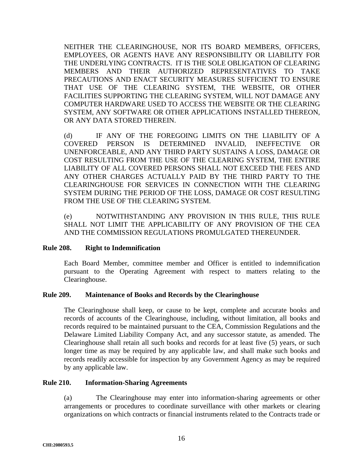NEITHER THE CLEARINGHOUSE, NOR ITS BOARD MEMBERS, OFFICERS, EMPLOYEES, OR AGENTS HAVE ANY RESPONSIBILITY OR LIABILITY FOR THE UNDERLYING CONTRACTS. IT IS THE SOLE OBLIGATION OF CLEARING MEMBERS AND THEIR AUTHORIZED REPRESENTATIVES TO TAKE PRECAUTIONS AND ENACT SECURITY MEASURES SUFFICIENT TO ENSURE THAT USE OF THE CLEARING SYSTEM, THE WEBSITE, OR OTHER FACILITIES SUPPORTING THE CLEARING SYSTEM, WILL NOT DAMAGE ANY COMPUTER HARDWARE USED TO ACCESS THE WEBSITE OR THE CLEARING SYSTEM, ANY SOFTWARE OR OTHER APPLICATIONS INSTALLED THEREON, OR ANY DATA STORED THEREIN.

(d) IF ANY OF THE FOREGOING LIMITS ON THE LIABILITY OF A COVERED PERSON IS DETERMINED INVALID, INEFFECTIVE OR UNENFORCEABLE, AND ANY THIRD PARTY SUSTAINS A LOSS, DAMAGE OR COST RESULTING FROM THE USE OF THE CLEARING SYSTEM, THE ENTIRE LIABILITY OF ALL COVERED PERSONS SHALL NOT EXCEED THE FEES AND ANY OTHER CHARGES ACTUALLY PAID BY THE THIRD PARTY TO THE CLEARINGHOUSE FOR SERVICES IN CONNECTION WITH THE CLEARING SYSTEM DURING THE PERIOD OF THE LOSS, DAMAGE OR COST RESULTING FROM THE USE OF THE CLEARING SYSTEM.

(e) NOTWITHSTANDING ANY PROVISION IN THIS RULE, THIS RULE SHALL NOT LIMIT THE APPLICABILITY OF ANY PROVISION OF THE CEA AND THE COMMISSION REGULATIONS PROMULGATED THEREUNDER.

#### **Rule 208. Right to Indemnification**

Each Board Member, committee member and Officer is entitled to indemnification pursuant to the Operating Agreement with respect to matters relating to the Clearinghouse.

#### **Rule 209. Maintenance of Books and Records by the Clearinghouse**

The Clearinghouse shall keep, or cause to be kept, complete and accurate books and records of accounts of the Clearinghouse, including, without limitation, all books and records required to be maintained pursuant to the CEA, Commission Regulations and the Delaware Limited Liability Company Act, and any successor statute, as amended. The Clearinghouse shall retain all such books and records for at least five (5) years, or such longer time as may be required by any applicable law, and shall make such books and records readily accessible for inspection by any Government Agency as may be required by any applicable law.

#### **Rule 210. Information-Sharing Agreements**

(a) The Clearinghouse may enter into information-sharing agreements or other arrangements or procedures to coordinate surveillance with other markets or clearing organizations on which contracts or financial instruments related to the Contracts trade or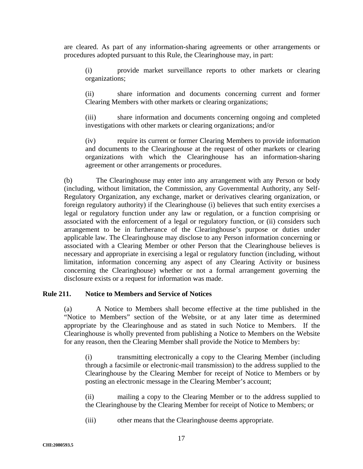are cleared. As part of any information-sharing agreements or other arrangements or procedures adopted pursuant to this Rule, the Clearinghouse may, in part:

(i) provide market surveillance reports to other markets or clearing organizations;

(ii) share information and documents concerning current and former Clearing Members with other markets or clearing organizations;

(iii) share information and documents concerning ongoing and completed investigations with other markets or clearing organizations; and/or

(iv) require its current or former Clearing Members to provide information and documents to the Clearinghouse at the request of other markets or clearing organizations with which the Clearinghouse has an information-sharing agreement or other arrangements or procedures.

(b) The Clearinghouse may enter into any arrangement with any Person or body (including, without limitation, the Commission, any Governmental Authority, any Self-Regulatory Organization, any exchange, market or derivatives clearing organization, or foreign regulatory authority) if the Clearinghouse (i) believes that such entity exercises a legal or regulatory function under any law or regulation, or a function comprising or associated with the enforcement of a legal or regulatory function, or (ii) considers such arrangement to be in furtherance of the Clearinghouse's purpose or duties under applicable law. The Clearinghouse may disclose to any Person information concerning or associated with a Clearing Member or other Person that the Clearinghouse believes is necessary and appropriate in exercising a legal or regulatory function (including, without limitation, information concerning any aspect of any Clearing Activity or business concerning the Clearinghouse) whether or not a formal arrangement governing the disclosure exists or a request for information was made.

#### **Rule 211. Notice to Members and Service of Notices**

(a) A Notice to Members shall become effective at the time published in the "Notice to Members" section of the Website, or at any later time as determined appropriate by the Clearinghouse and as stated in such Notice to Members. If the Clearinghouse is wholly prevented from publishing a Notice to Members on the Website for any reason, then the Clearing Member shall provide the Notice to Members by:

(i) transmitting electronically a copy to the Clearing Member (including through a facsimile or electronic-mail transmission) to the address supplied to the Clearinghouse by the Clearing Member for receipt of Notice to Members or by posting an electronic message in the Clearing Member's account;

(ii) mailing a copy to the Clearing Member or to the address supplied to the Clearinghouse by the Clearing Member for receipt of Notice to Members; or

(iii) other means that the Clearinghouse deems appropriate.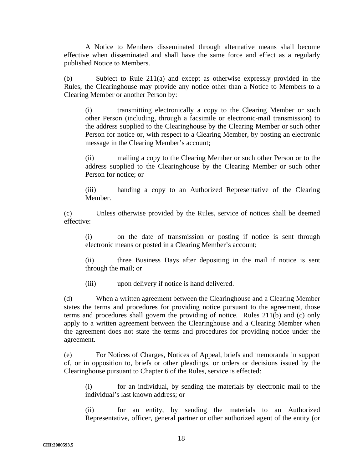A Notice to Members disseminated through alternative means shall become effective when disseminated and shall have the same force and effect as a regularly published Notice to Members.

(b) Subject to Rule 211(a) and except as otherwise expressly provided in the Rules, the Clearinghouse may provide any notice other than a Notice to Members to a Clearing Member or another Person by:

(i) transmitting electronically a copy to the Clearing Member or such other Person (including, through a facsimile or electronic-mail transmission) to the address supplied to the Clearinghouse by the Clearing Member or such other Person for notice or, with respect to a Clearing Member, by posting an electronic message in the Clearing Member's account;

(ii) mailing a copy to the Clearing Member or such other Person or to the address supplied to the Clearinghouse by the Clearing Member or such other Person for notice; or

(iii) handing a copy to an Authorized Representative of the Clearing Member.

(c) Unless otherwise provided by the Rules, service of notices shall be deemed effective:

(i) on the date of transmission or posting if notice is sent through electronic means or posted in a Clearing Member's account;

(ii) three Business Days after depositing in the mail if notice is sent through the mail; or

(iii) upon delivery if notice is hand delivered.

(d) When a written agreement between the Clearinghouse and a Clearing Member states the terms and procedures for providing notice pursuant to the agreement, those terms and procedures shall govern the providing of notice. Rules 211(b) and (c) only apply to a written agreement between the Clearinghouse and a Clearing Member when the agreement does not state the terms and procedures for providing notice under the agreement.

(e) For Notices of Charges, Notices of Appeal, briefs and memoranda in support of, or in opposition to, briefs or other pleadings, or orders or decisions issued by the Clearinghouse pursuant to Chapter 6 of the Rules, service is effected:

(i) for an individual, by sending the materials by electronic mail to the individual's last known address; or

(ii) for an entity, by sending the materials to an Authorized Representative, officer, general partner or other authorized agent of the entity (or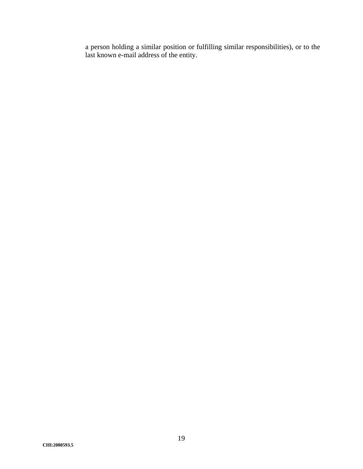a person holding a similar position or fulfilling similar responsibilities), or to the last known e-mail address of the entity.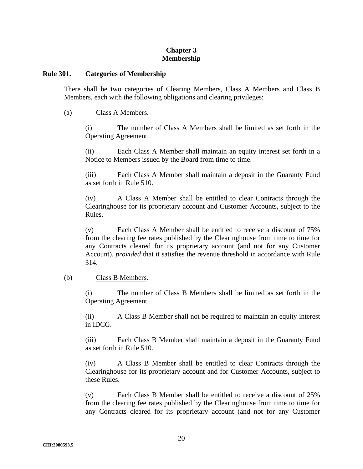### **Chapter 3 Membership**

#### **Rule 301. Categories of Membership**

There shall be two categories of Clearing Members, Class A Members and Class B Members, each with the following obligations and clearing privileges:

(a) Class A Members.

(i) The number of Class A Members shall be limited as set forth in the Operating Agreement.

(ii) Each Class A Member shall maintain an equity interest set forth in a Notice to Members issued by the Board from time to time.

(iii) Each Class A Member shall maintain a deposit in the Guaranty Fund as set forth in Rule 510.

(iv) A Class A Member shall be entitled to clear Contracts through the Clearinghouse for its proprietary account and Customer Accounts, subject to the Rules.

(v) Each Class A Member shall be entitled to receive a discount of 75% from the clearing fee rates published by the Clearinghouse from time to time for any Contracts cleared for its proprietary account (and not for any Customer Account), *provided* that it satisfies the revenue threshold in accordance with Rule 314.

# (b) Class B Members.

(i) The number of Class B Members shall be limited as set forth in the Operating Agreement.

(ii) A Class B Member shall not be required to maintain an equity interest in IDCG.

(iii) Each Class B Member shall maintain a deposit in the Guaranty Fund as set forth in Rule 510.

(iv) A Class B Member shall be entitled to clear Contracts through the Clearinghouse for its proprietary account and for Customer Accounts, subject to these Rules.

(v) Each Class B Member shall be entitled to receive a discount of 25% from the clearing fee rates published by the Clearinghouse from time to time for any Contracts cleared for its proprietary account (and not for any Customer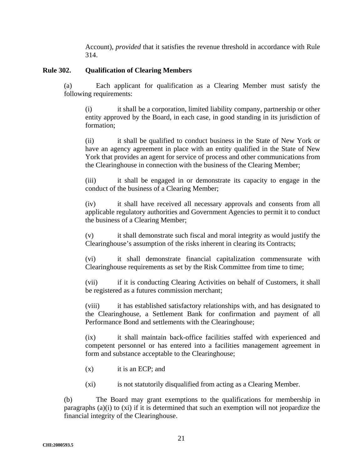Account), *provided* that it satisfies the revenue threshold in accordance with Rule 314.

### **Rule 302. Qualification of Clearing Members**

(a) Each applicant for qualification as a Clearing Member must satisfy the following requirements:

(i) it shall be a corporation, limited liability company, partnership or other entity approved by the Board, in each case, in good standing in its jurisdiction of formation;

(ii) it shall be qualified to conduct business in the State of New York or have an agency agreement in place with an entity qualified in the State of New York that provides an agent for service of process and other communications from the Clearinghouse in connection with the business of the Clearing Member;

(iii) it shall be engaged in or demonstrate its capacity to engage in the conduct of the business of a Clearing Member;

(iv) it shall have received all necessary approvals and consents from all applicable regulatory authorities and Government Agencies to permit it to conduct the business of a Clearing Member;

(v) it shall demonstrate such fiscal and moral integrity as would justify the Clearinghouse's assumption of the risks inherent in clearing its Contracts;

(vi) it shall demonstrate financial capitalization commensurate with Clearinghouse requirements as set by the Risk Committee from time to time;

(vii) if it is conducting Clearing Activities on behalf of Customers, it shall be registered as a futures commission merchant;

(viii) it has established satisfactory relationships with, and has designated to the Clearinghouse, a Settlement Bank for confirmation and payment of all Performance Bond and settlements with the Clearinghouse;

(ix) it shall maintain back-office facilities staffed with experienced and competent personnel or has entered into a facilities management agreement in form and substance acceptable to the Clearinghouse;

- (x) it is an ECP; and
- (xi) is not statutorily disqualified from acting as a Clearing Member.

(b) The Board may grant exemptions to the qualifications for membership in paragraphs (a)(i) to (xi) if it is determined that such an exemption will not jeopardize the financial integrity of the Clearinghouse.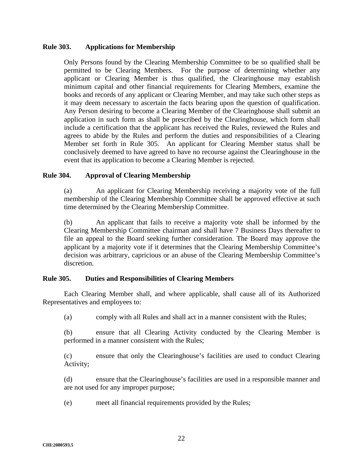#### **Rule 303. Applications for Membership**

Only Persons found by the Clearing Membership Committee to be so qualified shall be permitted to be Clearing Members. For the purpose of determining whether any applicant or Clearing Member is thus qualified, the Clearinghouse may establish minimum capital and other financial requirements for Clearing Members, examine the books and records of any applicant or Clearing Member, and may take such other steps as it may deem necessary to ascertain the facts bearing upon the question of qualification. Any Person desiring to become a Clearing Member of the Clearinghouse shall submit an application in such form as shall be prescribed by the Clearinghouse, which form shall include a certification that the applicant has received the Rules, reviewed the Rules and agrees to abide by the Rules and perform the duties and responsibilities of a Clearing Member set forth in Rule 305. An applicant for Clearing Member status shall be conclusively deemed to have agreed to have no recourse against the Clearinghouse in the event that its application to become a Clearing Member is rejected.

#### **Rule 304. Approval of Clearing Membership**

(a) An applicant for Clearing Membership receiving a majority vote of the full membership of the Clearing Membership Committee shall be approved effective at such time determined by the Clearing Membership Committee.

(b) An applicant that fails to receive a majority vote shall be informed by the Clearing Membership Committee chairman and shall have 7 Business Days thereafter to file an appeal to the Board seeking further consideration. The Board may approve the applicant by a majority vote if it determines that the Clearing Membership Committee's decision was arbitrary, capricious or an abuse of the Clearing Membership Committee's discretion.

#### **Rule 305. Duties and Responsibilities of Clearing Members**

Each Clearing Member shall, and where applicable, shall cause all of its Authorized Representatives and employees to:

(a) comply with all Rules and shall act in a manner consistent with the Rules;

(b) ensure that all Clearing Activity conducted by the Clearing Member is performed in a manner consistent with the Rules;

(c) ensure that only the Clearinghouse's facilities are used to conduct Clearing Activity;

(d) ensure that the Clearinghouse's facilities are used in a responsible manner and are not used for any improper purpose;

(e) meet all financial requirements provided by the Rules;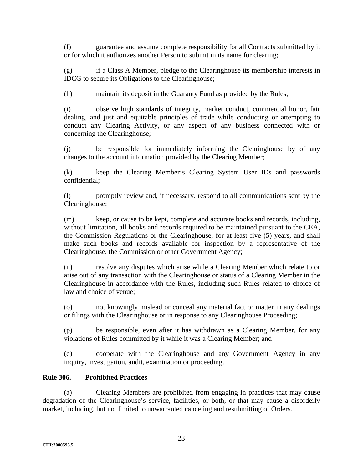(f) guarantee and assume complete responsibility for all Contracts submitted by it or for which it authorizes another Person to submit in its name for clearing;

(g) if a Class A Member, pledge to the Clearinghouse its membership interests in IDCG to secure its Obligations to the Clearinghouse;

(h) maintain its deposit in the Guaranty Fund as provided by the Rules;

(i) observe high standards of integrity, market conduct, commercial honor, fair dealing, and just and equitable principles of trade while conducting or attempting to conduct any Clearing Activity, or any aspect of any business connected with or concerning the Clearinghouse;

(j) be responsible for immediately informing the Clearinghouse by of any changes to the account information provided by the Clearing Member;

(k) keep the Clearing Member's Clearing System User IDs and passwords confidential;

(l) promptly review and, if necessary, respond to all communications sent by the Clearinghouse;

(m) keep, or cause to be kept, complete and accurate books and records, including, without limitation, all books and records required to be maintained pursuant to the CEA, the Commission Regulations or the Clearinghouse, for at least five (5) years, and shall make such books and records available for inspection by a representative of the Clearinghouse, the Commission or other Government Agency;

(n) resolve any disputes which arise while a Clearing Member which relate to or arise out of any transaction with the Clearinghouse or status of a Clearing Member in the Clearinghouse in accordance with the Rules, including such Rules related to choice of law and choice of venue;

(o) not knowingly mislead or conceal any material fact or matter in any dealings or filings with the Clearinghouse or in response to any Clearinghouse Proceeding;

(p) be responsible, even after it has withdrawn as a Clearing Member, for any violations of Rules committed by it while it was a Clearing Member; and

(q) cooperate with the Clearinghouse and any Government Agency in any inquiry, investigation, audit, examination or proceeding.

# **Rule 306. Prohibited Practices**

(a) Clearing Members are prohibited from engaging in practices that may cause degradation of the Clearinghouse's service, facilities, or both, or that may cause a disorderly market, including, but not limited to unwarranted canceling and resubmitting of Orders.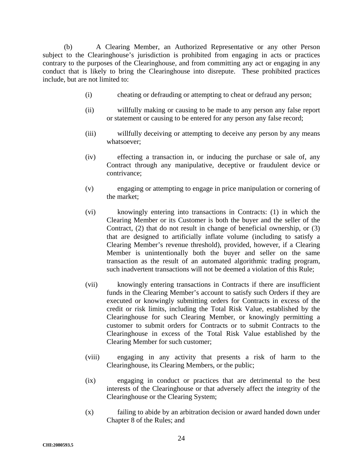(b) A Clearing Member, an Authorized Representative or any other Person subject to the Clearinghouse's jurisdiction is prohibited from engaging in acts or practices contrary to the purposes of the Clearinghouse, and from committing any act or engaging in any conduct that is likely to bring the Clearinghouse into disrepute. These prohibited practices include, but are not limited to:

- (i) cheating or defrauding or attempting to cheat or defraud any person;
- (ii) willfully making or causing to be made to any person any false report or statement or causing to be entered for any person any false record;
- (iii) willfully deceiving or attempting to deceive any person by any means whatsoever;
- (iv) effecting a transaction in, or inducing the purchase or sale of, any Contract through any manipulative, deceptive or fraudulent device or contrivance;
- (v) engaging or attempting to engage in price manipulation or cornering of the market;
- (vi) knowingly entering into transactions in Contracts: (1) in which the Clearing Member or its Customer is both the buyer and the seller of the Contract, (2) that do not result in change of beneficial ownership, or (3) that are designed to artificially inflate volume (including to satisfy a Clearing Member's revenue threshold), provided, however, if a Clearing Member is unintentionally both the buyer and seller on the same transaction as the result of an automated algorithmic trading program, such inadvertent transactions will not be deemed a violation of this Rule;
- (vii) knowingly entering transactions in Contracts if there are insufficient funds in the Clearing Member's account to satisfy such Orders if they are executed or knowingly submitting orders for Contracts in excess of the credit or risk limits, including the Total Risk Value, established by the Clearinghouse for such Clearing Member, or knowingly permitting a customer to submit orders for Contracts or to submit Contracts to the Clearinghouse in excess of the Total Risk Value established by the Clearing Member for such customer;
- (viii) engaging in any activity that presents a risk of harm to the Clearinghouse, its Clearing Members, or the public;
- (ix) engaging in conduct or practices that are detrimental to the best interests of the Clearinghouse or that adversely affect the integrity of the Clearinghouse or the Clearing System;
- (x) failing to abide by an arbitration decision or award handed down under Chapter 8 of the Rules; and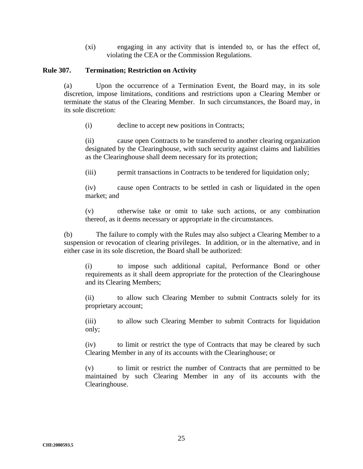(xi) engaging in any activity that is intended to, or has the effect of, violating the CEA or the Commission Regulations.

#### **Rule 307. Termination; Restriction on Activity**

(a) Upon the occurrence of a Termination Event, the Board may, in its sole discretion, impose limitations, conditions and restrictions upon a Clearing Member or terminate the status of the Clearing Member. In such circumstances, the Board may, in its sole discretion:

(i) decline to accept new positions in Contracts;

(ii) cause open Contracts to be transferred to another clearing organization designated by the Clearinghouse, with such security against claims and liabilities as the Clearinghouse shall deem necessary for its protection;

(iii) permit transactions in Contracts to be tendered for liquidation only;

(iv) cause open Contracts to be settled in cash or liquidated in the open market; and

(v) otherwise take or omit to take such actions, or any combination thereof, as it deems necessary or appropriate in the circumstances.

(b) The failure to comply with the Rules may also subject a Clearing Member to a suspension or revocation of clearing privileges. In addition, or in the alternative, and in either case in its sole discretion, the Board shall be authorized:

(i) to impose such additional capital, Performance Bond or other requirements as it shall deem appropriate for the protection of the Clearinghouse and its Clearing Members;

(ii) to allow such Clearing Member to submit Contracts solely for its proprietary account;

(iii) to allow such Clearing Member to submit Contracts for liquidation only;

(iv) to limit or restrict the type of Contracts that may be cleared by such Clearing Member in any of its accounts with the Clearinghouse; or

(v) to limit or restrict the number of Contracts that are permitted to be maintained by such Clearing Member in any of its accounts with the Clearinghouse.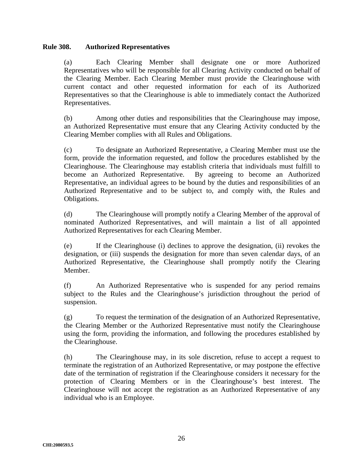#### **Rule 308. Authorized Representatives**

(a) Each Clearing Member shall designate one or more Authorized Representatives who will be responsible for all Clearing Activity conducted on behalf of the Clearing Member. Each Clearing Member must provide the Clearinghouse with current contact and other requested information for each of its Authorized Representatives so that the Clearinghouse is able to immediately contact the Authorized Representatives.

(b) Among other duties and responsibilities that the Clearinghouse may impose, an Authorized Representative must ensure that any Clearing Activity conducted by the Clearing Member complies with all Rules and Obligations.

(c) To designate an Authorized Representative, a Clearing Member must use the form, provide the information requested, and follow the procedures established by the Clearinghouse. The Clearinghouse may establish criteria that individuals must fulfill to become an Authorized Representative. By agreeing to become an Authorized Representative, an individual agrees to be bound by the duties and responsibilities of an Authorized Representative and to be subject to, and comply with, the Rules and Obligations.

(d) The Clearinghouse will promptly notify a Clearing Member of the approval of nominated Authorized Representatives, and will maintain a list of all appointed Authorized Representatives for each Clearing Member.

(e) If the Clearinghouse (i) declines to approve the designation, (ii) revokes the designation, or (iii) suspends the designation for more than seven calendar days, of an Authorized Representative, the Clearinghouse shall promptly notify the Clearing Member.

(f) An Authorized Representative who is suspended for any period remains subject to the Rules and the Clearinghouse's jurisdiction throughout the period of suspension.

(g) To request the termination of the designation of an Authorized Representative, the Clearing Member or the Authorized Representative must notify the Clearinghouse using the form, providing the information, and following the procedures established by the Clearinghouse.

(h) The Clearinghouse may, in its sole discretion, refuse to accept a request to terminate the registration of an Authorized Representative, or may postpone the effective date of the termination of registration if the Clearinghouse considers it necessary for the protection of Clearing Members or in the Clearinghouse's best interest. The Clearinghouse will not accept the registration as an Authorized Representative of any individual who is an Employee.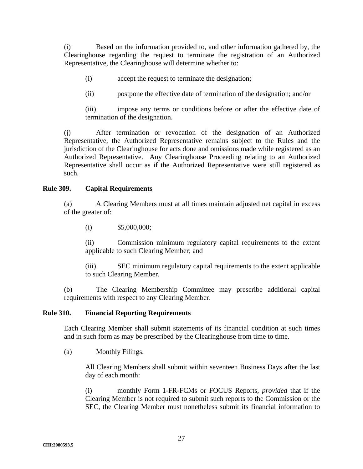(i) Based on the information provided to, and other information gathered by, the Clearinghouse regarding the request to terminate the registration of an Authorized Representative, the Clearinghouse will determine whether to:

- (i) accept the request to terminate the designation;
- (ii) postpone the effective date of termination of the designation; and/or

(iii) impose any terms or conditions before or after the effective date of termination of the designation.

(j) After termination or revocation of the designation of an Authorized Representative, the Authorized Representative remains subject to the Rules and the jurisdiction of the Clearinghouse for acts done and omissions made while registered as an Authorized Representative. Any Clearinghouse Proceeding relating to an Authorized Representative shall occur as if the Authorized Representative were still registered as such.

### **Rule 309. Capital Requirements**

(a) A Clearing Members must at all times maintain adjusted net capital in excess of the greater of:

(i)  $$5,000,000;$ 

(ii) Commission minimum regulatory capital requirements to the extent applicable to such Clearing Member; and

(iii) SEC minimum regulatory capital requirements to the extent applicable to such Clearing Member.

(b) The Clearing Membership Committee may prescribe additional capital requirements with respect to any Clearing Member.

#### **Rule 310. Financial Reporting Requirements**

Each Clearing Member shall submit statements of its financial condition at such times and in such form as may be prescribed by the Clearinghouse from time to time.

(a) Monthly Filings.

All Clearing Members shall submit within seventeen Business Days after the last day of each month:

(i) monthly Form 1-FR-FCMs or FOCUS Reports, *provided* that if the Clearing Member is not required to submit such reports to the Commission or the SEC, the Clearing Member must nonetheless submit its financial information to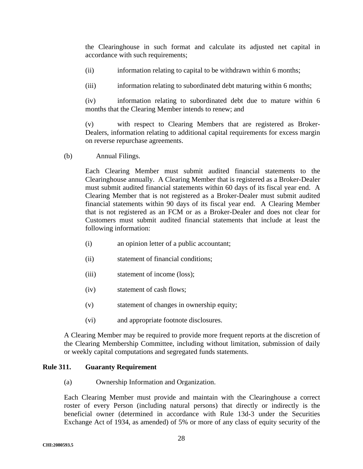the Clearinghouse in such format and calculate its adjusted net capital in accordance with such requirements;

(ii) information relating to capital to be withdrawn within 6 months;

(iii) information relating to subordinated debt maturing within 6 months;

(iv) information relating to subordinated debt due to mature within 6 months that the Clearing Member intends to renew; and

(v) with respect to Clearing Members that are registered as Broker-Dealers, information relating to additional capital requirements for excess margin on reverse repurchase agreements.

(b) Annual Filings.

Each Clearing Member must submit audited financial statements to the Clearinghouse annually. A Clearing Member that is registered as a Broker-Dealer must submit audited financial statements within 60 days of its fiscal year end. A Clearing Member that is not registered as a Broker-Dealer must submit audited financial statements within 90 days of its fiscal year end. A Clearing Member that is not registered as an FCM or as a Broker-Dealer and does not clear for Customers must submit audited financial statements that include at least the following information:

- (i) an opinion letter of a public accountant;
- (ii) statement of financial conditions;
- (iii) statement of income (loss);
- (iv) statement of cash flows;
- (v) statement of changes in ownership equity;
- (vi) and appropriate footnote disclosures.

A Clearing Member may be required to provide more frequent reports at the discretion of the Clearing Membership Committee, including without limitation, submission of daily or weekly capital computations and segregated funds statements.

#### **Rule 311. Guaranty Requirement**

(a) Ownership Information and Organization.

Each Clearing Member must provide and maintain with the Clearinghouse a correct roster of every Person (including natural persons) that directly or indirectly is the beneficial owner (determined in accordance with Rule 13d-3 under the Securities Exchange Act of 1934, as amended) of 5% or more of any class of equity security of the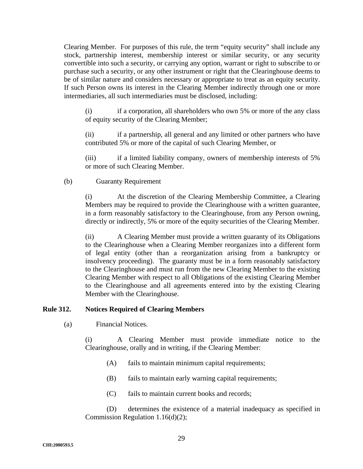Clearing Member. For purposes of this rule, the term "equity security" shall include any stock, partnership interest, membership interest or similar security, or any security convertible into such a security, or carrying any option, warrant or right to subscribe to or purchase such a security, or any other instrument or right that the Clearinghouse deems to be of similar nature and considers necessary or appropriate to treat as an equity security. If such Person owns its interest in the Clearing Member indirectly through one or more intermediaries, all such intermediaries must be disclosed, including:

(i) if a corporation, all shareholders who own 5% or more of the any class of equity security of the Clearing Member;

(ii) if a partnership, all general and any limited or other partners who have contributed 5% or more of the capital of such Clearing Member, or

(iii) if a limited liability company, owners of membership interests of 5% or more of such Clearing Member.

#### (b) Guaranty Requirement

(i) At the discretion of the Clearing Membership Committee, a Clearing Members may be required to provide the Clearinghouse with a written guarantee, in a form reasonably satisfactory to the Clearinghouse, from any Person owning, directly or indirectly, 5% or more of the equity securities of the Clearing Member.

(ii) A Clearing Member must provide a written guaranty of its Obligations to the Clearinghouse when a Clearing Member reorganizes into a different form of legal entity (other than a reorganization arising from a bankruptcy or insolvency proceeding). The guaranty must be in a form reasonably satisfactory to the Clearinghouse and must run from the new Clearing Member to the existing Clearing Member with respect to all Obligations of the existing Clearing Member to the Clearinghouse and all agreements entered into by the existing Clearing Member with the Clearinghouse.

#### **Rule 312. Notices Required of Clearing Members**

(a) Financial Notices.

(i) A Clearing Member must provide immediate notice to the Clearinghouse, orally and in writing, if the Clearing Member:

- (A) fails to maintain minimum capital requirements;
- (B) fails to maintain early warning capital requirements;
- (C) fails to maintain current books and records;

(D) determines the existence of a material inadequacy as specified in Commission Regulation 1.16(d)(2);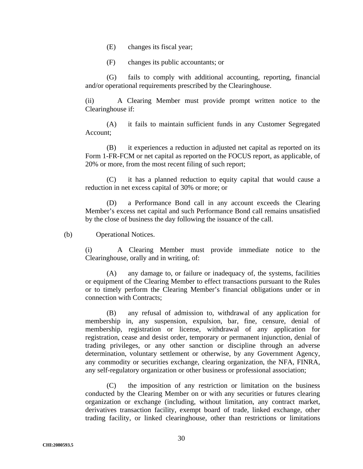- (E) changes its fiscal year;
- (F) changes its public accountants; or

(G) fails to comply with additional accounting, reporting, financial and/or operational requirements prescribed by the Clearinghouse.

(ii) A Clearing Member must provide prompt written notice to the Clearinghouse if:

(A) it fails to maintain sufficient funds in any Customer Segregated Account;

(B) it experiences a reduction in adjusted net capital as reported on its Form 1-FR-FCM or net capital as reported on the FOCUS report, as applicable, of 20% or more, from the most recent filing of such report;

(C) it has a planned reduction to equity capital that would cause a reduction in net excess capital of 30% or more; or

(D) a Performance Bond call in any account exceeds the Clearing Member's excess net capital and such Performance Bond call remains unsatisfied by the close of business the day following the issuance of the call.

(b) Operational Notices.

(i) A Clearing Member must provide immediate notice to the Clearinghouse, orally and in writing, of:

(A) any damage to, or failure or inadequacy of, the systems, facilities or equipment of the Clearing Member to effect transactions pursuant to the Rules or to timely perform the Clearing Member's financial obligations under or in connection with Contracts;

(B) any refusal of admission to, withdrawal of any application for membership in, any suspension, expulsion, bar, fine, censure, denial of membership, registration or license, withdrawal of any application for registration, cease and desist order, temporary or permanent injunction, denial of trading privileges, or any other sanction or discipline through an adverse determination, voluntary settlement or otherwise, by any Government Agency, any commodity or securities exchange, clearing organization, the NFA, FINRA, any self-regulatory organization or other business or professional association;

(C) the imposition of any restriction or limitation on the business conducted by the Clearing Member on or with any securities or futures clearing organization or exchange (including, without limitation, any contract market, derivatives transaction facility, exempt board of trade, linked exchange, other trading facility, or linked clearinghouse, other than restrictions or limitations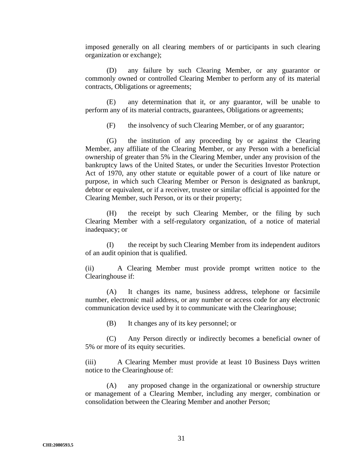imposed generally on all clearing members of or participants in such clearing organization or exchange);

(D) any failure by such Clearing Member, or any guarantor or commonly owned or controlled Clearing Member to perform any of its material contracts, Obligations or agreements;

(E) any determination that it, or any guarantor, will be unable to perform any of its material contracts, guarantees, Obligations or agreements;

(F) the insolvency of such Clearing Member, or of any guarantor;

(G) the institution of any proceeding by or against the Clearing Member, any affiliate of the Clearing Member, or any Person with a beneficial ownership of greater than 5% in the Clearing Member, under any provision of the bankruptcy laws of the United States, or under the Securities Investor Protection Act of 1970, any other statute or equitable power of a court of like nature or purpose, in which such Clearing Member or Person is designated as bankrupt, debtor or equivalent, or if a receiver, trustee or similar official is appointed for the Clearing Member, such Person, or its or their property;

(H) the receipt by such Clearing Member, or the filing by such Clearing Member with a self-regulatory organization, of a notice of material inadequacy; or

(I) the receipt by such Clearing Member from its independent auditors of an audit opinion that is qualified.

(ii) A Clearing Member must provide prompt written notice to the Clearinghouse if:

(A) It changes its name, business address, telephone or facsimile number, electronic mail address, or any number or access code for any electronic communication device used by it to communicate with the Clearinghouse;

(B) It changes any of its key personnel; or

(C) Any Person directly or indirectly becomes a beneficial owner of 5% or more of its equity securities.

(iii) A Clearing Member must provide at least 10 Business Days written notice to the Clearinghouse of:

(A) any proposed change in the organizational or ownership structure or management of a Clearing Member, including any merger, combination or consolidation between the Clearing Member and another Person;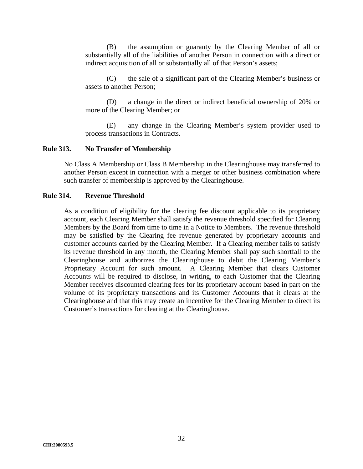(B) the assumption or guaranty by the Clearing Member of all or substantially all of the liabilities of another Person in connection with a direct or indirect acquisition of all or substantially all of that Person's assets;

(C) the sale of a significant part of the Clearing Member's business or assets to another Person;

(D) a change in the direct or indirect beneficial ownership of 20% or more of the Clearing Member; or

(E) any change in the Clearing Member's system provider used to process transactions in Contracts.

#### **Rule 313. No Transfer of Membership**

No Class A Membership or Class B Membership in the Clearinghouse may transferred to another Person except in connection with a merger or other business combination where such transfer of membership is approved by the Clearinghouse.

#### **Rule 314. Revenue Threshold**

As a condition of eligibility for the clearing fee discount applicable to its proprietary account, each Clearing Member shall satisfy the revenue threshold specified for Clearing Members by the Board from time to time in a Notice to Members. The revenue threshold may be satisfied by the Clearing fee revenue generated by proprietary accounts and customer accounts carried by the Clearing Member. If a Clearing member fails to satisfy its revenue threshold in any month, the Clearing Member shall pay such shortfall to the Clearinghouse and authorizes the Clearinghouse to debit the Clearing Member's Proprietary Account for such amount. A Clearing Member that clears Customer Accounts will be required to disclose, in writing, to each Customer that the Clearing Member receives discounted clearing fees for its proprietary account based in part on the volume of its proprietary transactions and its Customer Accounts that it clears at the Clearinghouse and that this may create an incentive for the Clearing Member to direct its Customer's transactions for clearing at the Clearinghouse.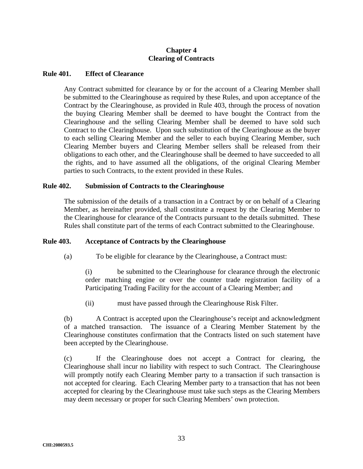## **Chapter 4 Clearing of Contracts**

#### **Rule 401. Effect of Clearance**

Any Contract submitted for clearance by or for the account of a Clearing Member shall be submitted to the Clearinghouse as required by these Rules, and upon acceptance of the Contract by the Clearinghouse, as provided in Rule 403, through the process of novation the buying Clearing Member shall be deemed to have bought the Contract from the Clearinghouse and the selling Clearing Member shall be deemed to have sold such Contract to the Clearinghouse. Upon such substitution of the Clearinghouse as the buyer to each selling Clearing Member and the seller to each buying Clearing Member, such Clearing Member buyers and Clearing Member sellers shall be released from their obligations to each other, and the Clearinghouse shall be deemed to have succeeded to all the rights, and to have assumed all the obligations, of the original Clearing Member parties to such Contracts, to the extent provided in these Rules.

### **Rule 402. Submission of Contracts to the Clearinghouse**

The submission of the details of a transaction in a Contract by or on behalf of a Clearing Member, as hereinafter provided, shall constitute a request by the Clearing Member to the Clearinghouse for clearance of the Contracts pursuant to the details submitted. These Rules shall constitute part of the terms of each Contract submitted to the Clearinghouse.

### **Rule 403. Acceptance of Contracts by the Clearinghouse**

(a) To be eligible for clearance by the Clearinghouse, a Contract must:

(i) be submitted to the Clearinghouse for clearance through the electronic order matching engine or over the counter trade registration facility of a Participating Trading Facility for the account of a Clearing Member; and

(ii) must have passed through the Clearinghouse Risk Filter.

(b) A Contract is accepted upon the Clearinghouse's receipt and acknowledgment of a matched transaction. The issuance of a Clearing Member Statement by the Clearinghouse constitutes confirmation that the Contracts listed on such statement have been accepted by the Clearinghouse.

(c) If the Clearinghouse does not accept a Contract for clearing, the Clearinghouse shall incur no liability with respect to such Contract. The Clearinghouse will promptly notify each Clearing Member party to a transaction if such transaction is not accepted for clearing. Each Clearing Member party to a transaction that has not been accepted for clearing by the Clearinghouse must take such steps as the Clearing Members may deem necessary or proper for such Clearing Members' own protection.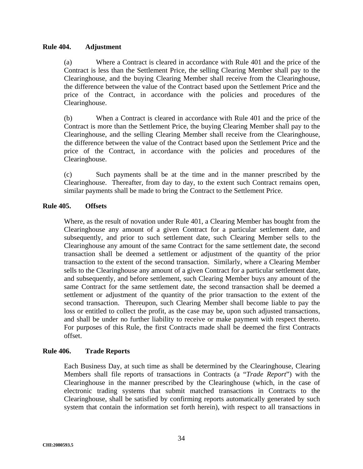### **Rule 404. Adjustment**

(a) Where a Contract is cleared in accordance with Rule 401 and the price of the Contract is less than the Settlement Price, the selling Clearing Member shall pay to the Clearinghouse, and the buying Clearing Member shall receive from the Clearinghouse, the difference between the value of the Contract based upon the Settlement Price and the price of the Contract, in accordance with the policies and procedures of the Clearinghouse.

(b) When a Contract is cleared in accordance with Rule 401 and the price of the Contract is more than the Settlement Price, the buying Clearing Member shall pay to the Clearinghouse, and the selling Clearing Member shall receive from the Clearinghouse, the difference between the value of the Contract based upon the Settlement Price and the price of the Contract, in accordance with the policies and procedures of the Clearinghouse.

(c) Such payments shall be at the time and in the manner prescribed by the Clearinghouse. Thereafter, from day to day, to the extent such Contract remains open, similar payments shall be made to bring the Contract to the Settlement Price.

## **Rule 405. Offsets**

Where, as the result of novation under Rule 401, a Clearing Member has bought from the Clearinghouse any amount of a given Contract for a particular settlement date, and subsequently, and prior to such settlement date, such Clearing Member sells to the Clearinghouse any amount of the same Contract for the same settlement date, the second transaction shall be deemed a settlement or adjustment of the quantity of the prior transaction to the extent of the second transaction. Similarly, where a Clearing Member sells to the Clearinghouse any amount of a given Contract for a particular settlement date, and subsequently, and before settlement, such Clearing Member buys any amount of the same Contract for the same settlement date, the second transaction shall be deemed a settlement or adjustment of the quantity of the prior transaction to the extent of the second transaction. Thereupon, such Clearing Member shall become liable to pay the loss or entitled to collect the profit, as the case may be, upon such adjusted transactions, and shall be under no further liability to receive or make payment with respect thereto. For purposes of this Rule, the first Contracts made shall be deemed the first Contracts offset.

### **Rule 406. Trade Reports**

Each Business Day, at such time as shall be determined by the Clearinghouse, Clearing Members shall file reports of transactions in Contracts (a "*Trade Report*") with the Clearinghouse in the manner prescribed by the Clearinghouse (which, in the case of electronic trading systems that submit matched transactions in Contracts to the Clearinghouse, shall be satisfied by confirming reports automatically generated by such system that contain the information set forth herein), with respect to all transactions in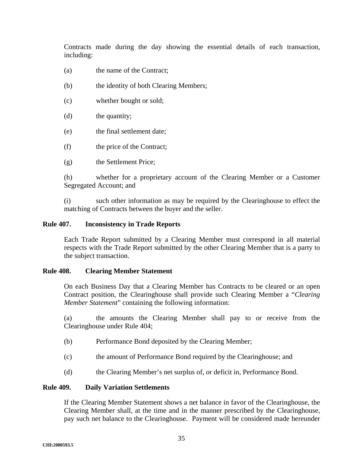Contracts made during the day showing the essential details of each transaction, including:

- (a) the name of the Contract;
- (b) the identity of both Clearing Members;
- (c) whether bought or sold;
- (d) the quantity;
- (e) the final settlement date;
- (f) the price of the Contract;
- (g) the Settlement Price;

(h) whether for a proprietary account of the Clearing Member or a Customer Segregated Account; and

(i) such other information as may be required by the Clearinghouse to effect the matching of Contracts between the buyer and the seller.

### **Rule 407. Inconsistency in Trade Reports**

Each Trade Report submitted by a Clearing Member must correspond in all material respects with the Trade Report submitted by the other Clearing Member that is a party to the subject transaction.

### **Rule 408. Clearing Member Statement**

On each Business Day that a Clearing Member has Contracts to be cleared or an open Contract position, the Clearinghouse shall provide such Clearing Member a "*Clearing Member Statement*" containing the following information:

(a) the amounts the Clearing Member shall pay to or receive from the Clearinghouse under Rule 404;

- (b) Performance Bond deposited by the Clearing Member;
- (c) the amount of Performance Bond required by the Clearinghouse; and
- (d) the Clearing Member's net surplus of, or deficit in, Performance Bond.

### **Rule 409. Daily Variation Settlements**

If the Clearing Member Statement shows a net balance in favor of the Clearinghouse, the Clearing Member shall, at the time and in the manner prescribed by the Clearinghouse, pay such net balance to the Clearinghouse. Payment will be considered made hereunder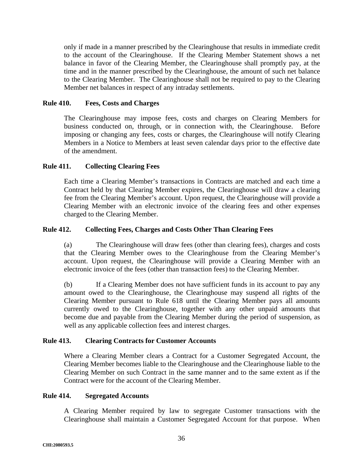only if made in a manner prescribed by the Clearinghouse that results in immediate credit to the account of the Clearinghouse. If the Clearing Member Statement shows a net balance in favor of the Clearing Member, the Clearinghouse shall promptly pay, at the time and in the manner prescribed by the Clearinghouse, the amount of such net balance to the Clearing Member. The Clearinghouse shall not be required to pay to the Clearing Member net balances in respect of any intraday settlements.

## **Rule 410. Fees, Costs and Charges**

The Clearinghouse may impose fees, costs and charges on Clearing Members for business conducted on, through, or in connection with, the Clearinghouse. Before imposing or changing any fees, costs or charges, the Clearinghouse will notify Clearing Members in a Notice to Members at least seven calendar days prior to the effective date of the amendment.

## **Rule 411. Collecting Clearing Fees**

Each time a Clearing Member's transactions in Contracts are matched and each time a Contract held by that Clearing Member expires, the Clearinghouse will draw a clearing fee from the Clearing Member's account. Upon request, the Clearinghouse will provide a Clearing Member with an electronic invoice of the clearing fees and other expenses charged to the Clearing Member.

### **Rule 412. Collecting Fees, Charges and Costs Other Than Clearing Fees**

(a) The Clearinghouse will draw fees (other than clearing fees), charges and costs that the Clearing Member owes to the Clearinghouse from the Clearing Member's account. Upon request, the Clearinghouse will provide a Clearing Member with an electronic invoice of the fees (other than transaction fees) to the Clearing Member.

(b) If a Clearing Member does not have sufficient funds in its account to pay any amount owed to the Clearinghouse, the Clearinghouse may suspend all rights of the Clearing Member pursuant to Rule 618 until the Clearing Member pays all amounts currently owed to the Clearinghouse, together with any other unpaid amounts that become due and payable from the Clearing Member during the period of suspension, as well as any applicable collection fees and interest charges.

### **Rule 413. Clearing Contracts for Customer Accounts**

Where a Clearing Member clears a Contract for a Customer Segregated Account, the Clearing Member becomes liable to the Clearinghouse and the Clearinghouse liable to the Clearing Member on such Contract in the same manner and to the same extent as if the Contract were for the account of the Clearing Member.

### **Rule 414. Segregated Accounts**

A Clearing Member required by law to segregate Customer transactions with the Clearinghouse shall maintain a Customer Segregated Account for that purpose. When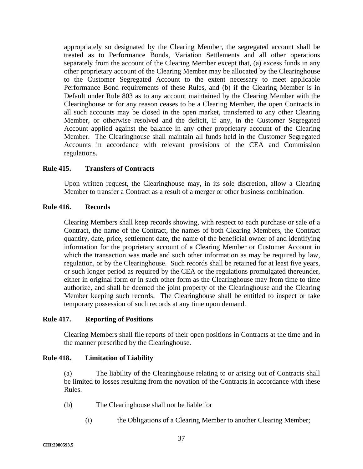appropriately so designated by the Clearing Member, the segregated account shall be treated as to Performance Bonds, Variation Settlements and all other operations separately from the account of the Clearing Member except that, (a) excess funds in any other proprietary account of the Clearing Member may be allocated by the Clearinghouse to the Customer Segregated Account to the extent necessary to meet applicable Performance Bond requirements of these Rules, and (b) if the Clearing Member is in Default under Rule 803 as to any account maintained by the Clearing Member with the Clearinghouse or for any reason ceases to be a Clearing Member, the open Contracts in all such accounts may be closed in the open market, transferred to any other Clearing Member, or otherwise resolved and the deficit, if any, in the Customer Segregated Account applied against the balance in any other proprietary account of the Clearing Member. The Clearinghouse shall maintain all funds held in the Customer Segregated Accounts in accordance with relevant provisions of the CEA and Commission regulations.

### **Rule 415. Transfers of Contracts**

Upon written request, the Clearinghouse may, in its sole discretion, allow a Clearing Member to transfer a Contract as a result of a merger or other business combination.

### **Rule 416. Records**

Clearing Members shall keep records showing, with respect to each purchase or sale of a Contract, the name of the Contract, the names of both Clearing Members, the Contract quantity, date, price, settlement date, the name of the beneficial owner of and identifying information for the proprietary account of a Clearing Member or Customer Account in which the transaction was made and such other information as may be required by law, regulation, or by the Clearinghouse. Such records shall be retained for at least five years, or such longer period as required by the CEA or the regulations promulgated thereunder, either in original form or in such other form as the Clearinghouse may from time to time authorize, and shall be deemed the joint property of the Clearinghouse and the Clearing Member keeping such records. The Clearinghouse shall be entitled to inspect or take temporary possession of such records at any time upon demand.

### **Rule 417. Reporting of Positions**

Clearing Members shall file reports of their open positions in Contracts at the time and in the manner prescribed by the Clearinghouse.

### **Rule 418. Limitation of Liability**

(a) The liability of the Clearinghouse relating to or arising out of Contracts shall be limited to losses resulting from the novation of the Contracts in accordance with these Rules.

- (b) The Clearinghouse shall not be liable for
	- (i) the Obligations of a Clearing Member to another Clearing Member;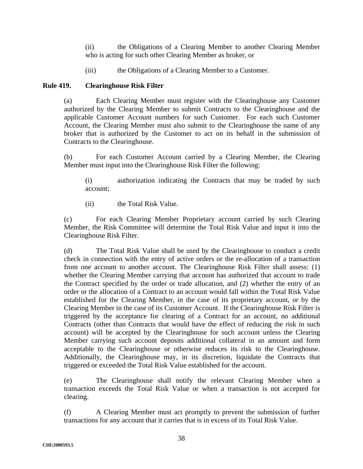(ii) the Obligations of a Clearing Member to another Clearing Member who is acting for such other Clearing Member as broker, or

(iii) the Obligations of a Clearing Member to a Customer.

## **Rule 419. Clearinghouse Risk Filter**

(a) Each Clearing Member must register with the Clearinghouse any Customer authorized by the Clearing Member to submit Contracts to the Clearinghouse and the applicable Customer Account numbers for such Customer. For each such Customer Account, the Clearing Member must also submit to the Clearinghouse the name of any broker that is authorized by the Customer to act on its behalf in the submission of Contracts to the Clearinghouse.

(b) For each Customer Account carried by a Clearing Member, the Clearing Member must input into the Clearinghouse Risk Filter the following:

(i) authorization indicating the Contracts that may be traded by such account;

(ii) the Total Risk Value.

(c) For each Clearing Member Proprietary account carried by such Clearing Member, the Risk Committee will determine the Total Risk Value and input it into the Clearinghouse Risk Filter.

(d) The Total Risk Value shall be used by the Clearinghouse to conduct a credit check in connection with the entry of active orders or the re-allocation of a transaction from one account to another account. The Clearinghouse Risk Filter shall assess: (1) whether the Clearing Member carrying that account has authorized that account to trade the Contract specified by the order or trade allocation, and (2) whether the entry of an order or the allocation of a Contract to an account would fall within the Total Risk Value established for the Clearing Member, in the case of its proprietary account, or by the Clearing Member in the case of its Customer Account. If the Clearinghouse Risk Filter is triggered by the acceptance for clearing of a Contract for an account, no additional Contracts (other than Contracts that would have the effect of reducing the risk in such account) will be accepted by the Clearinghouse for such account unless the Clearing Member carrying such account deposits additional collateral in an amount and form acceptable to the Clearinghouse or otherwise reduces its risk to the Clearinghouse. Additionally, the Clearinghouse may, in its discretion, liquidate the Contracts that triggered or exceeded the Total Risk Value established for the account.

(e) The Clearinghouse shall notify the relevant Clearing Member when a transaction exceeds the Total Risk Value or when a transaction is not accepted for clearing.

(f) A Clearing Member must act promptly to prevent the submission of further transactions for any account that it carries that is in excess of its Total Risk Value.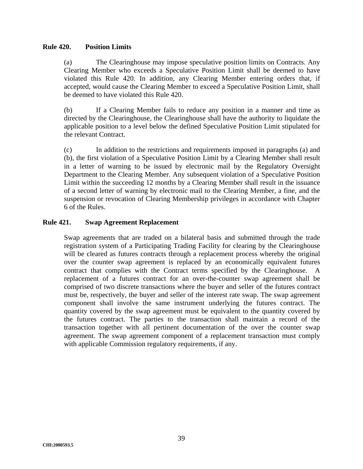#### **Rule 420. Position Limits**

(a) The Clearinghouse may impose speculative position limits on Contracts. Any Clearing Member who exceeds a Speculative Position Limit shall be deemed to have violated this Rule 420. In addition, any Clearing Member entering orders that, if accepted, would cause the Clearing Member to exceed a Speculative Position Limit, shall be deemed to have violated this Rule 420.

(b) If a Clearing Member fails to reduce any position in a manner and time as directed by the Clearinghouse, the Clearinghouse shall have the authority to liquidate the applicable position to a level below the defined Speculative Position Limit stipulated for the relevant Contract.

(c) In addition to the restrictions and requirements imposed in paragraphs (a) and (b), the first violation of a Speculative Position Limit by a Clearing Member shall result in a letter of warning to be issued by electronic mail by the Regulatory Oversight Department to the Clearing Member. Any subsequent violation of a Speculative Position Limit within the succeeding 12 months by a Clearing Member shall result in the issuance of a second letter of warning by electronic mail to the Clearing Member, a fine, and the suspension or revocation of Clearing Membership privileges in accordance with Chapter 6 of the Rules.

#### **Rule 421. Swap Agreement Replacement**

Swap agreements that are traded on a bilateral basis and submitted through the trade registration system of a Participating Trading Facility for clearing by the Clearinghouse will be cleared as futures contracts through a replacement process whereby the original over the counter swap agreement is replaced by an economically equivalent futures contract that complies with the Contract terms specified by the Clearinghouse. A replacement of a futures contract for an over-the-counter swap agreement shall be comprised of two discrete transactions where the buyer and seller of the futures contract must be, respectively, the buyer and seller of the interest rate swap. The swap agreement component shall involve the same instrument underlying the futures contract. The quantity covered by the swap agreement must be equivalent to the quantity covered by the futures contract. The parties to the transaction shall maintain a record of the transaction together with all pertinent documentation of the over the counter swap agreement. The swap agreement component of a replacement transaction must comply with applicable Commission regulatory requirements, if any.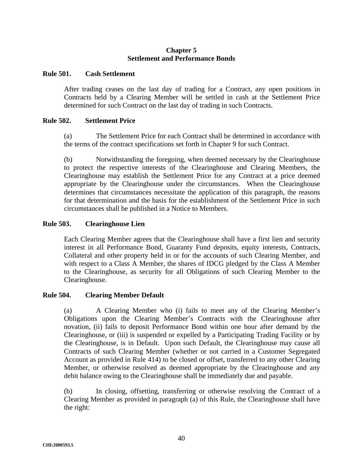## **Chapter 5 Settlement and Performance Bonds**

#### **Rule 501. Cash Settlement**

After trading ceases on the last day of trading for a Contract, any open positions in Contracts held by a Clearing Member will be settled in cash at the Settlement Price determined for such Contract on the last day of trading in such Contracts.

### **Rule 502. Settlement Price**

(a) The Settlement Price for each Contract shall be determined in accordance with the terms of the contract specifications set forth in Chapter 9 for such Contract.

(b) Notwithstanding the foregoing, when deemed necessary by the Clearinghouse to protect the respective interests of the Clearinghouse and Clearing Members, the Clearinghouse may establish the Settlement Price for any Contract at a price deemed appropriate by the Clearinghouse under the circumstances. When the Clearinghouse determines that circumstances necessitate the application of this paragraph, the reasons for that determination and the basis for the establishment of the Settlement Price in such circumstances shall be published in a Notice to Members.

### **Rule 503. Clearinghouse Lien**

Each Clearing Member agrees that the Clearinghouse shall have a first lien and security interest in all Performance Bond, Guaranty Fund deposits, equity interests, Contracts, Collateral and other property held in or for the accounts of such Clearing Member, and with respect to a Class A Member, the shares of IDCG pledged by the Class A Member to the Clearinghouse, as security for all Obligations of such Clearing Member to the Clearinghouse.

### **Rule 504. Clearing Member Default**

(a) A Clearing Member who (i) fails to meet any of the Clearing Member's Obligations upon the Clearing Member's Contracts with the Clearinghouse after novation, (ii) fails to deposit Performance Bond within one hour after demand by the Clearinghouse, or (iii) is suspended or expelled by a Participating Trading Facility or by the Clearinghouse, is in Default. Upon such Default, the Clearinghouse may cause all Contracts of such Clearing Member (whether or not carried in a Customer Segregated Account as provided in Rule 414) to be closed or offset, transferred to any other Clearing Member, or otherwise resolved as deemed appropriate by the Clearinghouse and any debit balance owing to the Clearinghouse shall be immediately due and payable.

(b) In closing, offsetting, transferring or otherwise resolving the Contract of a Clearing Member as provided in paragraph (a) of this Rule, the Clearinghouse shall have the right: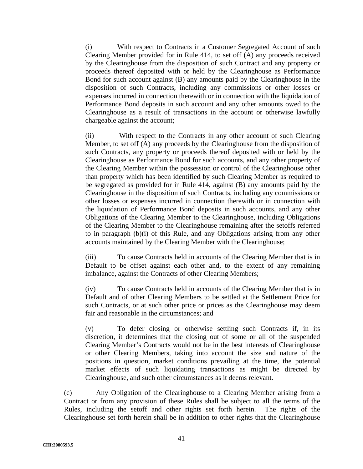(i) With respect to Contracts in a Customer Segregated Account of such Clearing Member provided for in Rule 414, to set off (A) any proceeds received by the Clearinghouse from the disposition of such Contract and any property or proceeds thereof deposited with or held by the Clearinghouse as Performance Bond for such account against (B) any amounts paid by the Clearinghouse in the disposition of such Contracts, including any commissions or other losses or expenses incurred in connection therewith or in connection with the liquidation of Performance Bond deposits in such account and any other amounts owed to the Clearinghouse as a result of transactions in the account or otherwise lawfully chargeable against the account;

(ii) With respect to the Contracts in any other account of such Clearing Member, to set off (A) any proceeds by the Clearinghouse from the disposition of such Contracts, any property or proceeds thereof deposited with or held by the Clearinghouse as Performance Bond for such accounts, and any other property of the Clearing Member within the possession or control of the Clearinghouse other than property which has been identified by such Clearing Member as required to be segregated as provided for in Rule 414, against (B) any amounts paid by the Clearinghouse in the disposition of such Contracts, including any commissions or other losses or expenses incurred in connection therewith or in connection with the liquidation of Performance Bond deposits in such accounts, and any other Obligations of the Clearing Member to the Clearinghouse, including Obligations of the Clearing Member to the Clearinghouse remaining after the setoffs referred to in paragraph (b)(i) of this Rule, and any Obligations arising from any other accounts maintained by the Clearing Member with the Clearinghouse;

(iii) To cause Contracts held in accounts of the Clearing Member that is in Default to be offset against each other and, to the extent of any remaining imbalance, against the Contracts of other Clearing Members;

(iv) To cause Contracts held in accounts of the Clearing Member that is in Default and of other Clearing Members to be settled at the Settlement Price for such Contracts, or at such other price or prices as the Clearinghouse may deem fair and reasonable in the circumstances; and

(v) To defer closing or otherwise settling such Contracts if, in its discretion, it determines that the closing out of some or all of the suspended Clearing Member's Contracts would not be in the best interests of Clearinghouse or other Clearing Members, taking into account the size and nature of the positions in question, market conditions prevailing at the time, the potential market effects of such liquidating transactions as might be directed by Clearinghouse, and such other circumstances as it deems relevant.

(c) Any Obligation of the Clearinghouse to a Clearing Member arising from a Contract or from any provision of these Rules shall be subject to all the terms of the Rules, including the setoff and other rights set forth herein. The rights of the Clearinghouse set forth herein shall be in addition to other rights that the Clearinghouse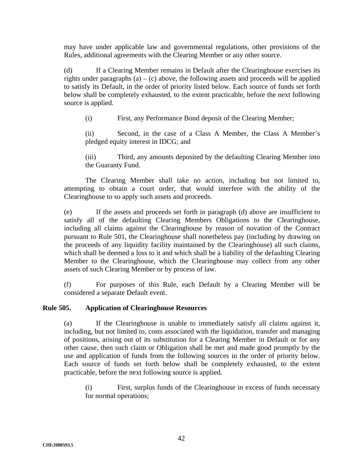may have under applicable law and governmental regulations, other provisions of the Rules, additional agreements with the Clearing Member or any other source.

(d) If a Clearing Member remains in Default after the Clearinghouse exercises its rights under paragraphs  $(a) - (c)$  above, the following assets and proceeds will be applied to satisfy its Default, in the order of priority listed below. Each source of funds set forth below shall be completely exhausted, to the extent practicable, before the next following source is applied.

(i) First, any Performance Bond deposit of the Clearing Member;

(ii) Second, in the case of a Class A Member, the Class A Member's pledged equity interest in IDCG; and

(iii) Third, any amounts deposited by the defaulting Clearing Member into the Guaranty Fund.

The Clearing Member shall take no action, including but not limited to, attempting to obtain a court order, that would interfere with the ability of the Clearinghouse to so apply such assets and proceeds.

(e) If the assets and proceeds set forth in paragraph (d) above are insufficient to satisfy all of the defaulting Clearing Members Obligations to the Clearinghouse, including all claims against the Clearinghouse by reason of novation of the Contract pursuant to Rule 501, the Clearinghouse shall nonetheless pay (including by drawing on the proceeds of any liquidity facility maintained by the Clearinghouse) all such claims, which shall be deemed a loss to it and which shall be a liability of the defaulting Clearing Member to the Clearinghouse, which the Clearinghouse may collect from any other assets of such Clearing Member or by process of law.

(f) For purposes of this Rule, each Default by a Clearing Member will be considered a separate Default event.

### **Rule 505. Application of Clearinghouse Resources**

(a) If the Clearinghouse is unable to immediately satisfy all claims against it, including, but not limited to, costs associated with the liquidation, transfer and managing of positions, arising out of its substitution for a Clearing Member in Default or for any other cause, then such claim or Obligation shall be met and made good promptly by the use and application of funds from the following sources in the order of priority below. Each source of funds set forth below shall be completely exhausted, to the extent practicable, before the next following source is applied.

(i) First, surplus funds of the Clearinghouse in excess of funds necessary for normal operations;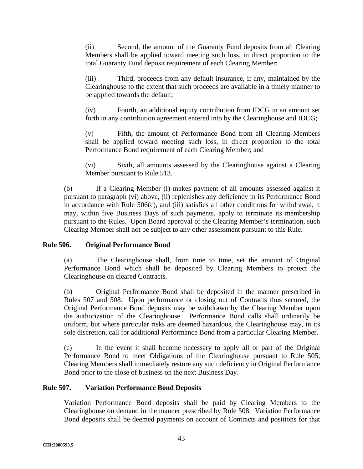(ii) Second, the amount of the Guaranty Fund deposits from all Clearing Members shall be applied toward meeting such loss, in direct proportion to the total Guaranty Fund deposit requirement of each Clearing Member;

(iii) Third, proceeds from any default insurance, if any, maintained by the Clearinghouse to the extent that such proceeds are available in a timely manner to be applied towards the default;

(iv) Fourth, an additional equity contribution from IDCG in an amount set forth in any contribution agreement entered into by the Clearinghouse and IDCG;

(v) Fifth, the amount of Performance Bond from all Clearing Members shall be applied toward meeting such loss, in direct proportion to the total Performance Bond requirement of each Clearing Member; and

(vi) Sixth, all amounts assessed by the Clearinghouse against a Clearing Member pursuant to Rule 513.

(b) If a Clearing Member (i) makes payment of all amounts assessed against it pursuant to paragraph (vi) above, (ii) replenishes any deficiency in its Performance Bond in accordance with Rule 506(c), and (iii) satisfies all other conditions for withdrawal, it may, within five Business Days of such payments, apply to terminate its membership pursuant to the Rules. Upon Board approval of the Clearing Member's termination, such Clearing Member shall not be subject to any other assessment pursuant to this Rule.

# **Rule 506. Original Performance Bond**

(a) The Clearinghouse shall, from time to time, set the amount of Original Performance Bond which shall be deposited by Clearing Members to protect the Clearinghouse on cleared Contracts.

(b) Original Performance Bond shall be deposited in the manner prescribed in Rules 507 and 508. Upon performance or closing out of Contracts thus secured, the Original Performance Bond deposits may be withdrawn by the Clearing Member upon the authorization of the Clearinghouse. Performance Bond calls shall ordinarily be uniform, but where particular risks are deemed hazardous, the Clearinghouse may, in its sole discretion, call for additional Performance Bond from a particular Clearing Member.

(c) In the event it shall become necessary to apply all or part of the Original Performance Bond to meet Obligations of the Clearinghouse pursuant to Rule 505, Clearing Members shall immediately restore any such deficiency in Original Performance Bond prior to the close of business on the next Business Day.

# **Rule 507. Variation Performance Bond Deposits**

Variation Performance Bond deposits shall be paid by Clearing Members to the Clearinghouse on demand in the manner prescribed by Rule 508. Variation Performance Bond deposits shall be deemed payments on account of Contracts and positions for that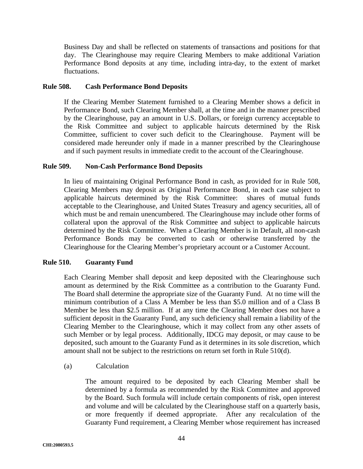Business Day and shall be reflected on statements of transactions and positions for that day. The Clearinghouse may require Clearing Members to make additional Variation Performance Bond deposits at any time, including intra-day, to the extent of market fluctuations.

### **Rule 508. Cash Performance Bond Deposits**

If the Clearing Member Statement furnished to a Clearing Member shows a deficit in Performance Bond, such Clearing Member shall, at the time and in the manner prescribed by the Clearinghouse, pay an amount in U.S. Dollars, or foreign currency acceptable to the Risk Committee and subject to applicable haircuts determined by the Risk Committee, sufficient to cover such deficit to the Clearinghouse. Payment will be considered made hereunder only if made in a manner prescribed by the Clearinghouse and if such payment results in immediate credit to the account of the Clearinghouse.

### **Rule 509. Non-Cash Performance Bond Deposits**

In lieu of maintaining Original Performance Bond in cash, as provided for in Rule 508, Clearing Members may deposit as Original Performance Bond, in each case subject to applicable haircuts determined by the Risk Committee: shares of mutual funds acceptable to the Clearinghouse, and United States Treasury and agency securities, all of which must be and remain unencumbered. The Clearinghouse may include other forms of collateral upon the approval of the Risk Committee and subject to applicable haircuts determined by the Risk Committee. When a Clearing Member is in Default, all non-cash Performance Bonds may be converted to cash or otherwise transferred by the Clearinghouse for the Clearing Member's proprietary account or a Customer Account.

### **Rule 510. Guaranty Fund**

Each Clearing Member shall deposit and keep deposited with the Clearinghouse such amount as determined by the Risk Committee as a contribution to the Guaranty Fund. The Board shall determine the appropriate size of the Guaranty Fund. At no time will the minimum contribution of a Class A Member be less than \$5.0 million and of a Class B Member be less than \$2.5 million. If at any time the Clearing Member does not have a sufficient deposit in the Guaranty Fund, any such deficiency shall remain a liability of the Clearing Member to the Clearinghouse, which it may collect from any other assets of such Member or by legal process. Additionally, IDCG may deposit, or may cause to be deposited, such amount to the Guaranty Fund as it determines in its sole discretion, which amount shall not be subject to the restrictions on return set forth in Rule 510(d).

(a) Calculation

The amount required to be deposited by each Clearing Member shall be determined by a formula as recommended by the Risk Committee and approved by the Board. Such formula will include certain components of risk, open interest and volume and will be calculated by the Clearinghouse staff on a quarterly basis, or more frequently if deemed appropriate. After any recalculation of the Guaranty Fund requirement, a Clearing Member whose requirement has increased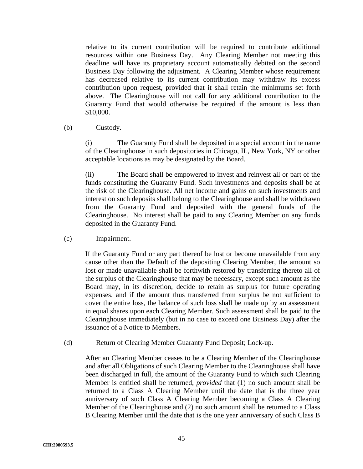relative to its current contribution will be required to contribute additional resources within one Business Day. Any Clearing Member not meeting this deadline will have its proprietary account automatically debited on the second Business Day following the adjustment. A Clearing Member whose requirement has decreased relative to its current contribution may withdraw its excess contribution upon request, provided that it shall retain the minimums set forth above. The Clearinghouse will not call for any additional contribution to the Guaranty Fund that would otherwise be required if the amount is less than \$10,000.

### (b) Custody.

(i) The Guaranty Fund shall be deposited in a special account in the name of the Clearinghouse in such depositories in Chicago, IL, New York, NY or other acceptable locations as may be designated by the Board.

(ii) The Board shall be empowered to invest and reinvest all or part of the funds constituting the Guaranty Fund. Such investments and deposits shall be at the risk of the Clearinghouse. All net income and gains on such investments and interest on such deposits shall belong to the Clearinghouse and shall be withdrawn from the Guaranty Fund and deposited with the general funds of the Clearinghouse. No interest shall be paid to any Clearing Member on any funds deposited in the Guaranty Fund.

(c) Impairment.

If the Guaranty Fund or any part thereof be lost or become unavailable from any cause other than the Default of the depositing Clearing Member, the amount so lost or made unavailable shall be forthwith restored by transferring thereto all of the surplus of the Clearinghouse that may be necessary, except such amount as the Board may, in its discretion, decide to retain as surplus for future operating expenses, and if the amount thus transferred from surplus be not sufficient to cover the entire loss, the balance of such loss shall be made up by an assessment in equal shares upon each Clearing Member. Such assessment shall be paid to the Clearinghouse immediately (but in no case to exceed one Business Day) after the issuance of a Notice to Members.

(d) Return of Clearing Member Guaranty Fund Deposit; Lock-up.

After an Clearing Member ceases to be a Clearing Member of the Clearinghouse and after all Obligations of such Clearing Member to the Clearinghouse shall have been discharged in full, the amount of the Guaranty Fund to which such Clearing Member is entitled shall be returned, *provided* that (1) no such amount shall be returned to a Class A Clearing Member until the date that is the three year anniversary of such Class A Clearing Member becoming a Class A Clearing Member of the Clearinghouse and (2) no such amount shall be returned to a Class B Clearing Member until the date that is the one year anniversary of such Class B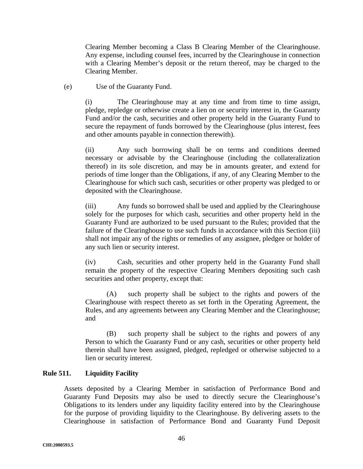Clearing Member becoming a Class B Clearing Member of the Clearinghouse. Any expense, including counsel fees, incurred by the Clearinghouse in connection with a Clearing Member's deposit or the return thereof, may be charged to the Clearing Member.

(e) Use of the Guaranty Fund.

(i) The Clearinghouse may at any time and from time to time assign, pledge, repledge or otherwise create a lien on or security interest in, the Guaranty Fund and/or the cash, securities and other property held in the Guaranty Fund to secure the repayment of funds borrowed by the Clearinghouse (plus interest, fees and other amounts payable in connection therewith).

(ii) Any such borrowing shall be on terms and conditions deemed necessary or advisable by the Clearinghouse (including the collateralization thereof) in its sole discretion, and may be in amounts greater, and extend for periods of time longer than the Obligations, if any, of any Clearing Member to the Clearinghouse for which such cash, securities or other property was pledged to or deposited with the Clearinghouse.

(iii) Any funds so borrowed shall be used and applied by the Clearinghouse solely for the purposes for which cash, securities and other property held in the Guaranty Fund are authorized to be used pursuant to the Rules; provided that the failure of the Clearinghouse to use such funds in accordance with this Section (iii) shall not impair any of the rights or remedies of any assignee, pledgee or holder of any such lien or security interest.

(iv) Cash, securities and other property held in the Guaranty Fund shall remain the property of the respective Clearing Members depositing such cash securities and other property, except that:

(A) such property shall be subject to the rights and powers of the Clearinghouse with respect thereto as set forth in the Operating Agreement, the Rules, and any agreements between any Clearing Member and the Clearinghouse; and

(B) such property shall be subject to the rights and powers of any Person to which the Guaranty Fund or any cash, securities or other property held therein shall have been assigned, pledged, repledged or otherwise subjected to a lien or security interest.

# **Rule 511. Liquidity Facility**

Assets deposited by a Clearing Member in satisfaction of Performance Bond and Guaranty Fund Deposits may also be used to directly secure the Clearinghouse's Obligations to its lenders under any liquidity facility entered into by the Clearinghouse for the purpose of providing liquidity to the Clearinghouse. By delivering assets to the Clearinghouse in satisfaction of Performance Bond and Guaranty Fund Deposit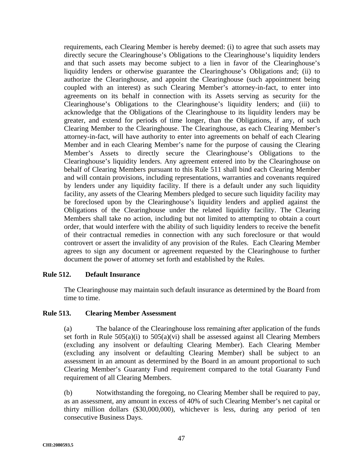requirements, each Clearing Member is hereby deemed: (i) to agree that such assets may directly secure the Clearinghouse's Obligations to the Clearinghouse's liquidity lenders and that such assets may become subject to a lien in favor of the Clearinghouse's liquidity lenders or otherwise guarantee the Clearinghouse's Obligations and; (ii) to authorize the Clearinghouse, and appoint the Clearinghouse (such appointment being coupled with an interest) as such Clearing Member's attorney-in-fact, to enter into agreements on its behalf in connection with its Assets serving as security for the Clearinghouse's Obligations to the Clearinghouse's liquidity lenders; and (iii) to acknowledge that the Obligations of the Clearinghouse to its liquidity lenders may be greater, and extend for periods of time longer, than the Obligations, if any, of such Clearing Member to the Clearinghouse. The Clearinghouse, as each Clearing Member's attorney-in-fact, will have authority to enter into agreements on behalf of each Clearing Member and in each Clearing Member's name for the purpose of causing the Clearing Member's Assets to directly secure the Clearinghouse's Obligations to the Clearinghouse's liquidity lenders. Any agreement entered into by the Clearinghouse on behalf of Clearing Members pursuant to this Rule 511 shall bind each Clearing Member and will contain provisions, including representations, warranties and covenants required by lenders under any liquidity facility. If there is a default under any such liquidity facility, any assets of the Clearing Members pledged to secure such liquidity facility may be foreclosed upon by the Clearinghouse's liquidity lenders and applied against the Obligations of the Clearinghouse under the related liquidity facility. The Clearing Members shall take no action, including but not limited to attempting to obtain a court order, that would interfere with the ability of such liquidity lenders to receive the benefit of their contractual remedies in connection with any such foreclosure or that would controvert or assert the invalidity of any provision of the Rules. Each Clearing Member agrees to sign any document or agreement requested by the Clearinghouse to further document the power of attorney set forth and established by the Rules.

### **Rule 512. Default Insurance**

The Clearinghouse may maintain such default insurance as determined by the Board from time to time.

### **Rule 513. Clearing Member Assessment**

(a) The balance of the Clearinghouse loss remaining after application of the funds set forth in Rule  $505(a)(i)$  to  $505(a)(vi)$  shall be assessed against all Clearing Members (excluding any insolvent or defaulting Clearing Member). Each Clearing Member (excluding any insolvent or defaulting Clearing Member) shall be subject to an assessment in an amount as determined by the Board in an amount proportional to such Clearing Member's Guaranty Fund requirement compared to the total Guaranty Fund requirement of all Clearing Members.

(b) Notwithstanding the foregoing, no Clearing Member shall be required to pay, as an assessment, any amount in excess of 40% of such Clearing Member's net capital or thirty million dollars (\$30,000,000), whichever is less, during any period of ten consecutive Business Days.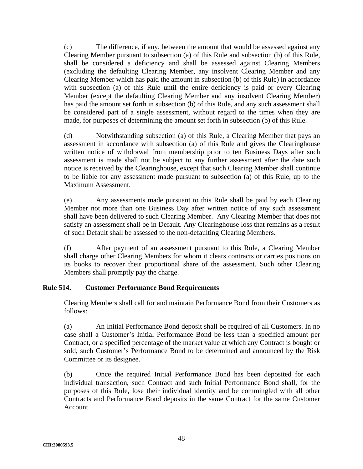(c) The difference, if any, between the amount that would be assessed against any Clearing Member pursuant to subsection (a) of this Rule and subsection (b) of this Rule, shall be considered a deficiency and shall be assessed against Clearing Members (excluding the defaulting Clearing Member, any insolvent Clearing Member and any Clearing Member which has paid the amount in subsection (b) of this Rule) in accordance with subsection (a) of this Rule until the entire deficiency is paid or every Clearing Member (except the defaulting Clearing Member and any insolvent Clearing Member) has paid the amount set forth in subsection (b) of this Rule, and any such assessment shall be considered part of a single assessment, without regard to the times when they are made, for purposes of determining the amount set forth in subsection (b) of this Rule.

(d) Notwithstanding subsection (a) of this Rule, a Clearing Member that pays an assessment in accordance with subsection (a) of this Rule and gives the Clearinghouse written notice of withdrawal from membership prior to ten Business Days after such assessment is made shall not be subject to any further assessment after the date such notice is received by the Clearinghouse, except that such Clearing Member shall continue to be liable for any assessment made pursuant to subsection (a) of this Rule, up to the Maximum Assessment.

(e) Any assessments made pursuant to this Rule shall be paid by each Clearing Member not more than one Business Day after written notice of any such assessment shall have been delivered to such Clearing Member. Any Clearing Member that does not satisfy an assessment shall be in Default. Any Clearinghouse loss that remains as a result of such Default shall be assessed to the non-defaulting Clearing Members.

(f) After payment of an assessment pursuant to this Rule, a Clearing Member shall charge other Clearing Members for whom it clears contracts or carries positions on its books to recover their proportional share of the assessment. Such other Clearing Members shall promptly pay the charge.

# **Rule 514. Customer Performance Bond Requirements**

Clearing Members shall call for and maintain Performance Bond from their Customers as follows:

(a) An Initial Performance Bond deposit shall be required of all Customers. In no case shall a Customer's Initial Performance Bond be less than a specified amount per Contract, or a specified percentage of the market value at which any Contract is bought or sold, such Customer's Performance Bond to be determined and announced by the Risk Committee or its designee.

(b) Once the required Initial Performance Bond has been deposited for each individual transaction, such Contract and such Initial Performance Bond shall, for the purposes of this Rule, lose their individual identity and be commingled with all other Contracts and Performance Bond deposits in the same Contract for the same Customer Account.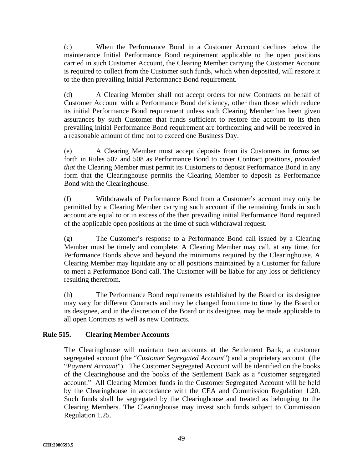(c) When the Performance Bond in a Customer Account declines below the maintenance Initial Performance Bond requirement applicable to the open positions carried in such Customer Account, the Clearing Member carrying the Customer Account is required to collect from the Customer such funds, which when deposited, will restore it to the then prevailing Initial Performance Bond requirement.

(d) A Clearing Member shall not accept orders for new Contracts on behalf of Customer Account with a Performance Bond deficiency, other than those which reduce its initial Performance Bond requirement unless such Clearing Member has been given assurances by such Customer that funds sufficient to restore the account to its then prevailing initial Performance Bond requirement are forthcoming and will be received in a reasonable amount of time not to exceed one Business Day.

(e) A Clearing Member must accept deposits from its Customers in forms set forth in Rules 507 and 508 as Performance Bond to cover Contract positions, *provided that* the Clearing Member must permit its Customers to deposit Performance Bond in any form that the Clearinghouse permits the Clearing Member to deposit as Performance Bond with the Clearinghouse.

(f) Withdrawals of Performance Bond from a Customer's account may only be permitted by a Clearing Member carrying such account if the remaining funds in such account are equal to or in excess of the then prevailing initial Performance Bond required of the applicable open positions at the time of such withdrawal request.

(g) The Customer's response to a Performance Bond call issued by a Clearing Member must be timely and complete. A Clearing Member may call, at any time, for Performance Bonds above and beyond the minimums required by the Clearinghouse. A Clearing Member may liquidate any or all positions maintained by a Customer for failure to meet a Performance Bond call. The Customer will be liable for any loss or deficiency resulting therefrom.

(h) The Performance Bond requirements established by the Board or its designee may vary for different Contracts and may be changed from time to time by the Board or its designee, and in the discretion of the Board or its designee, may be made applicable to all open Contracts as well as new Contracts.

# **Rule 515. Clearing Member Accounts**

The Clearinghouse will maintain two accounts at the Settlement Bank, a customer segregated account (the "*Customer Segregated Account*") and a proprietary account (the "*Payment Account*"). The Customer Segregated Account will be identified on the books of the Clearinghouse and the books of the Settlement Bank as a "customer segregated account." All Clearing Member funds in the Customer Segregated Account will be held by the Clearinghouse in accordance with the CEA and Commission Regulation 1.20. Such funds shall be segregated by the Clearinghouse and treated as belonging to the Clearing Members. The Clearinghouse may invest such funds subject to Commission Regulation 1.25.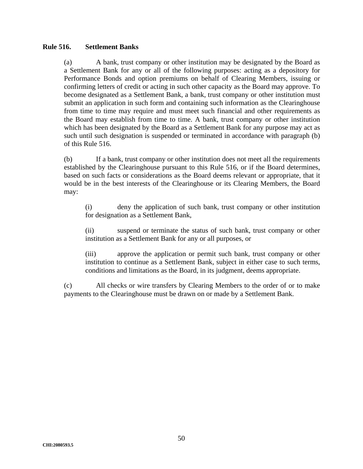### **Rule 516. Settlement Banks**

(a) A bank, trust company or other institution may be designated by the Board as a Settlement Bank for any or all of the following purposes: acting as a depository for Performance Bonds and option premiums on behalf of Clearing Members, issuing or confirming letters of credit or acting in such other capacity as the Board may approve. To become designated as a Settlement Bank, a bank, trust company or other institution must submit an application in such form and containing such information as the Clearinghouse from time to time may require and must meet such financial and other requirements as the Board may establish from time to time. A bank, trust company or other institution which has been designated by the Board as a Settlement Bank for any purpose may act as such until such designation is suspended or terminated in accordance with paragraph (b) of this Rule 516.

(b) If a bank, trust company or other institution does not meet all the requirements established by the Clearinghouse pursuant to this Rule 516, or if the Board determines, based on such facts or considerations as the Board deems relevant or appropriate, that it would be in the best interests of the Clearinghouse or its Clearing Members, the Board may:

(i) deny the application of such bank, trust company or other institution for designation as a Settlement Bank,

(ii) suspend or terminate the status of such bank, trust company or other institution as a Settlement Bank for any or all purposes, or

(iii) approve the application or permit such bank, trust company or other institution to continue as a Settlement Bank, subject in either case to such terms, conditions and limitations as the Board, in its judgment, deems appropriate.

(c) All checks or wire transfers by Clearing Members to the order of or to make payments to the Clearinghouse must be drawn on or made by a Settlement Bank.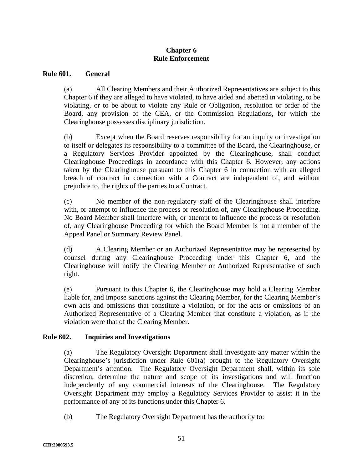## **Chapter 6 Rule Enforcement**

### **Rule 601. General**

(a) All Clearing Members and their Authorized Representatives are subject to this Chapter 6 if they are alleged to have violated, to have aided and abetted in violating, to be violating, or to be about to violate any Rule or Obligation, resolution or order of the Board, any provision of the CEA, or the Commission Regulations, for which the Clearinghouse possesses disciplinary jurisdiction.

(b) Except when the Board reserves responsibility for an inquiry or investigation to itself or delegates its responsibility to a committee of the Board, the Clearinghouse, or a Regulatory Services Provider appointed by the Clearinghouse, shall conduct Clearinghouse Proceedings in accordance with this Chapter 6. However, any actions taken by the Clearinghouse pursuant to this Chapter 6 in connection with an alleged breach of contract in connection with a Contract are independent of, and without prejudice to, the rights of the parties to a Contract.

(c) No member of the non-regulatory staff of the Clearinghouse shall interfere with, or attempt to influence the process or resolution of, any Clearinghouse Proceeding. No Board Member shall interfere with, or attempt to influence the process or resolution of, any Clearinghouse Proceeding for which the Board Member is not a member of the Appeal Panel or Summary Review Panel.

(d) A Clearing Member or an Authorized Representative may be represented by counsel during any Clearinghouse Proceeding under this Chapter 6, and the Clearinghouse will notify the Clearing Member or Authorized Representative of such right.

(e) Pursuant to this Chapter 6, the Clearinghouse may hold a Clearing Member liable for, and impose sanctions against the Clearing Member, for the Clearing Member's own acts and omissions that constitute a violation, or for the acts or omissions of an Authorized Representative of a Clearing Member that constitute a violation, as if the violation were that of the Clearing Member.

### **Rule 602. Inquiries and Investigations**

(a) The Regulatory Oversight Department shall investigate any matter within the Clearinghouse's jurisdiction under Rule 601(a) brought to the Regulatory Oversight Department's attention. The Regulatory Oversight Department shall, within its sole discretion, determine the nature and scope of its investigations and will function independently of any commercial interests of the Clearinghouse. The Regulatory Oversight Department may employ a Regulatory Services Provider to assist it in the performance of any of its functions under this Chapter 6.

(b) The Regulatory Oversight Department has the authority to: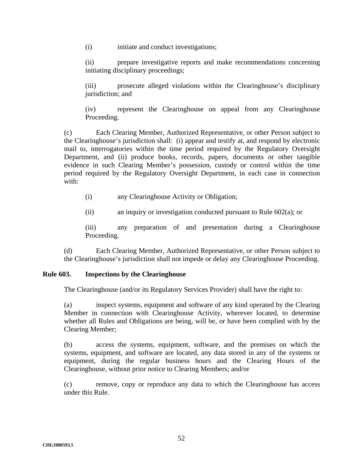(i) initiate and conduct investigations;

(ii) prepare investigative reports and make recommendations concerning initiating disciplinary proceedings;

(iii) prosecute alleged violations within the Clearinghouse's disciplinary jurisdiction; and

(iv) represent the Clearinghouse on appeal from any Clearinghouse Proceeding.

(c) Each Clearing Member, Authorized Representative, or other Person subject to the Clearinghouse's jurisdiction shall: (i) appear and testify at, and respond by electronic mail to, interrogatories within the time period required by the Regulatory Oversight Department, and (ii) produce books, records, papers, documents or other tangible evidence in such Clearing Member's possession, custody or control within the time period required by the Regulatory Oversight Department, in each case in connection with:

- (i) any Clearinghouse Activity or Obligation;
- (ii) an inquiry or investigation conducted pursuant to Rule 602(a); or

(iii) any preparation of and presentation during a Clearinghouse Proceeding.

(d) Each Clearing Member, Authorized Representative, or other Person subject to the Clearinghouse's jurisdiction shall not impede or delay any Clearinghouse Proceeding.

# **Rule 603. Inspections by the Clearinghouse**

The Clearinghouse (and/or its Regulatory Services Provider) shall have the right to:

(a) inspect systems, equipment and software of any kind operated by the Clearing Member in connection with Clearinghouse Activity, wherever located, to determine whether all Rules and Obligations are being, will be, or have been complied with by the Clearing Member;

(b) access the systems, equipment, software, and the premises on which the systems, equipment, and software are located, any data stored in any of the systems or equipment, during the regular business hours and the Clearing Hours of the Clearinghouse, without prior notice to Clearing Members; and/or

(c) remove, copy or reproduce any data to which the Clearinghouse has access under this Rule.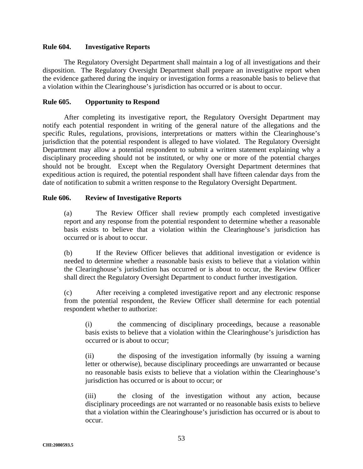#### **Rule 604. Investigative Reports**

The Regulatory Oversight Department shall maintain a log of all investigations and their disposition. The Regulatory Oversight Department shall prepare an investigative report when the evidence gathered during the inquiry or investigation forms a reasonable basis to believe that a violation within the Clearinghouse's jurisdiction has occurred or is about to occur.

### **Rule 605. Opportunity to Respond**

After completing its investigative report, the Regulatory Oversight Department may notify each potential respondent in writing of the general nature of the allegations and the specific Rules, regulations, provisions, interpretations or matters within the Clearinghouse's jurisdiction that the potential respondent is alleged to have violated. The Regulatory Oversight Department may allow a potential respondent to submit a written statement explaining why a disciplinary proceeding should not be instituted, or why one or more of the potential charges should not be brought. Except when the Regulatory Oversight Department determines that expeditious action is required, the potential respondent shall have fifteen calendar days from the date of notification to submit a written response to the Regulatory Oversight Department.

### **Rule 606. Review of Investigative Reports**

(a) The Review Officer shall review promptly each completed investigative report and any response from the potential respondent to determine whether a reasonable basis exists to believe that a violation within the Clearinghouse's jurisdiction has occurred or is about to occur.

(b) If the Review Officer believes that additional investigation or evidence is needed to determine whether a reasonable basis exists to believe that a violation within the Clearinghouse's jurisdiction has occurred or is about to occur, the Review Officer shall direct the Regulatory Oversight Department to conduct further investigation.

(c) After receiving a completed investigative report and any electronic response from the potential respondent, the Review Officer shall determine for each potential respondent whether to authorize:

(i) the commencing of disciplinary proceedings, because a reasonable basis exists to believe that a violation within the Clearinghouse's jurisdiction has occurred or is about to occur;

(ii) the disposing of the investigation informally (by issuing a warning letter or otherwise), because disciplinary proceedings are unwarranted or because no reasonable basis exists to believe that a violation within the Clearinghouse's jurisdiction has occurred or is about to occur; or

(iii) the closing of the investigation without any action, because disciplinary proceedings are not warranted or no reasonable basis exists to believe that a violation within the Clearinghouse's jurisdiction has occurred or is about to occur.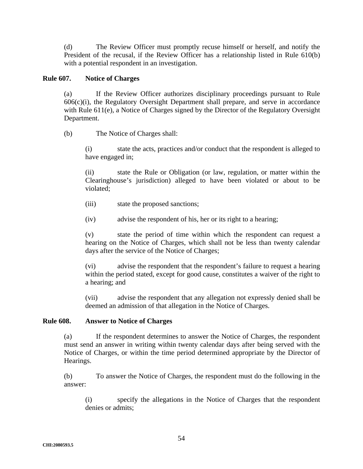(d) The Review Officer must promptly recuse himself or herself, and notify the President of the recusal, if the Review Officer has a relationship listed in Rule 610(b) with a potential respondent in an investigation.

### **Rule 607. Notice of Charges**

(a) If the Review Officer authorizes disciplinary proceedings pursuant to Rule  $606(c)(i)$ , the Regulatory Oversight Department shall prepare, and serve in accordance with Rule 611(e), a Notice of Charges signed by the Director of the Regulatory Oversight Department.

(b) The Notice of Charges shall:

(i) state the acts, practices and/or conduct that the respondent is alleged to have engaged in;

(ii) state the Rule or Obligation (or law, regulation, or matter within the Clearinghouse's jurisdiction) alleged to have been violated or about to be violated;

- (iii) state the proposed sanctions;
- (iv) advise the respondent of his, her or its right to a hearing;

(v) state the period of time within which the respondent can request a hearing on the Notice of Charges, which shall not be less than twenty calendar days after the service of the Notice of Charges;

(vi) advise the respondent that the respondent's failure to request a hearing within the period stated, except for good cause, constitutes a waiver of the right to a hearing; and

(vii) advise the respondent that any allegation not expressly denied shall be deemed an admission of that allegation in the Notice of Charges.

### **Rule 608. Answer to Notice of Charges**

(a) If the respondent determines to answer the Notice of Charges, the respondent must send an answer in writing within twenty calendar days after being served with the Notice of Charges, or within the time period determined appropriate by the Director of Hearings.

(b) To answer the Notice of Charges, the respondent must do the following in the answer:

(i) specify the allegations in the Notice of Charges that the respondent denies or admits;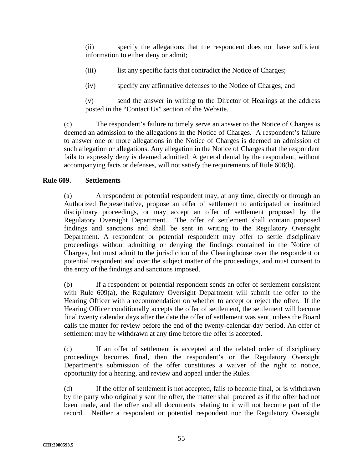(ii) specify the allegations that the respondent does not have sufficient information to either deny or admit;

- (iii) list any specific facts that contradict the Notice of Charges;
- (iv) specify any affirmative defenses to the Notice of Charges; and

(v) send the answer in writing to the Director of Hearings at the address posted in the "Contact Us" section of the Website.

(c) The respondent's failure to timely serve an answer to the Notice of Charges is deemed an admission to the allegations in the Notice of Charges. A respondent's failure to answer one or more allegations in the Notice of Charges is deemed an admission of such allegation or allegations. Any allegation in the Notice of Charges that the respondent fails to expressly deny is deemed admitted. A general denial by the respondent, without accompanying facts or defenses, will not satisfy the requirements of Rule 608(b).

# **Rule 609. Settlements**

(a) A respondent or potential respondent may, at any time, directly or through an Authorized Representative, propose an offer of settlement to anticipated or instituted disciplinary proceedings, or may accept an offer of settlement proposed by the Regulatory Oversight Department. The offer of settlement shall contain proposed findings and sanctions and shall be sent in writing to the Regulatory Oversight Department. A respondent or potential respondent may offer to settle disciplinary proceedings without admitting or denying the findings contained in the Notice of Charges, but must admit to the jurisdiction of the Clearinghouse over the respondent or potential respondent and over the subject matter of the proceedings, and must consent to the entry of the findings and sanctions imposed.

(b) If a respondent or potential respondent sends an offer of settlement consistent with Rule 609(a), the Regulatory Oversight Department will submit the offer to the Hearing Officer with a recommendation on whether to accept or reject the offer. If the Hearing Officer conditionally accepts the offer of settlement, the settlement will become final twenty calendar days after the date the offer of settlement was sent, unless the Board calls the matter for review before the end of the twenty-calendar-day period. An offer of settlement may be withdrawn at any time before the offer is accepted.

(c) If an offer of settlement is accepted and the related order of disciplinary proceedings becomes final, then the respondent's or the Regulatory Oversight Department's submission of the offer constitutes a waiver of the right to notice, opportunity for a hearing, and review and appeal under the Rules.

(d) If the offer of settlement is not accepted, fails to become final, or is withdrawn by the party who originally sent the offer, the matter shall proceed as if the offer had not been made, and the offer and all documents relating to it will not become part of the record. Neither a respondent or potential respondent nor the Regulatory Oversight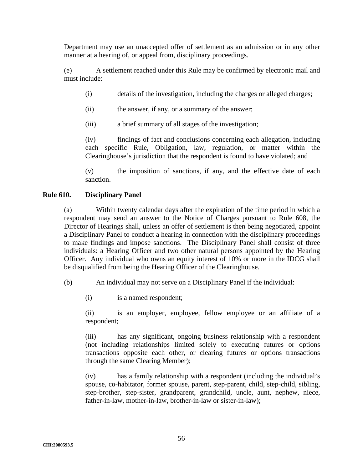Department may use an unaccepted offer of settlement as an admission or in any other manner at a hearing of, or appeal from, disciplinary proceedings.

(e) A settlement reached under this Rule may be confirmed by electronic mail and must include:

- (i) details of the investigation, including the charges or alleged charges;
- (ii) the answer, if any, or a summary of the answer;
- (iii) a brief summary of all stages of the investigation;

(iv) findings of fact and conclusions concerning each allegation, including each specific Rule, Obligation, law, regulation, or matter within the Clearinghouse's jurisdiction that the respondent is found to have violated; and

(v) the imposition of sanctions, if any, and the effective date of each sanction.

### **Rule 610. Disciplinary Panel**

(a) Within twenty calendar days after the expiration of the time period in which a respondent may send an answer to the Notice of Charges pursuant to Rule 608, the Director of Hearings shall, unless an offer of settlement is then being negotiated, appoint a Disciplinary Panel to conduct a hearing in connection with the disciplinary proceedings to make findings and impose sanctions. The Disciplinary Panel shall consist of three individuals: a Hearing Officer and two other natural persons appointed by the Hearing Officer. Any individual who owns an equity interest of 10% or more in the IDCG shall be disqualified from being the Hearing Officer of the Clearinghouse.

(b) An individual may not serve on a Disciplinary Panel if the individual:

(i) is a named respondent;

(ii) is an employer, employee, fellow employee or an affiliate of a respondent;

(iii) has any significant, ongoing business relationship with a respondent (not including relationships limited solely to executing futures or options transactions opposite each other, or clearing futures or options transactions through the same Clearing Member);

(iv) has a family relationship with a respondent (including the individual's spouse, co-habitator, former spouse, parent, step-parent, child, step-child, sibling, step-brother, step-sister, grandparent, grandchild, uncle, aunt, nephew, niece, father-in-law, mother-in-law, brother-in-law or sister-in-law);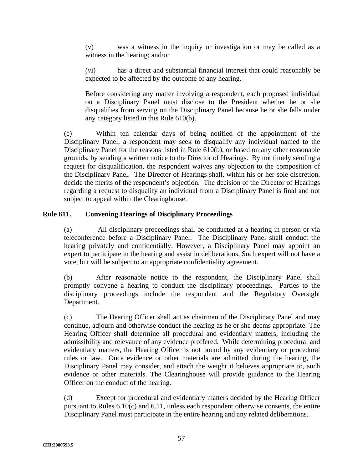(v) was a witness in the inquiry or investigation or may be called as a witness in the hearing; and/or

(vi) has a direct and substantial financial interest that could reasonably be expected to be affected by the outcome of any hearing.

Before considering any matter involving a respondent, each proposed individual on a Disciplinary Panel must disclose to the President whether he or she disqualifies from serving on the Disciplinary Panel because he or she falls under any category listed in this Rule 610(b).

(c) Within ten calendar days of being notified of the appointment of the Disciplinary Panel, a respondent may seek to disqualify any individual named to the Disciplinary Panel for the reasons listed in Rule 610(b), or based on any other reasonable grounds, by sending a written notice to the Director of Hearings. By not timely sending a request for disqualification, the respondent waives any objection to the composition of the Disciplinary Panel. The Director of Hearings shall, within his or her sole discretion, decide the merits of the respondent's objection. The decision of the Director of Hearings regarding a request to disqualify an individual from a Disciplinary Panel is final and not subject to appeal within the Clearinghouse.

# **Rule 611. Convening Hearings of Disciplinary Proceedings**

(a) All disciplinary proceedings shall be conducted at a hearing in person or via teleconference before a Disciplinary Panel. The Disciplinary Panel shall conduct the hearing privately and confidentially. However, a Disciplinary Panel may appoint an expert to participate in the hearing and assist in deliberations. Such expert will not have a vote, but will be subject to an appropriate confidentiality agreement.

(b) After reasonable notice to the respondent, the Disciplinary Panel shall promptly convene a hearing to conduct the disciplinary proceedings. Parties to the disciplinary proceedings include the respondent and the Regulatory Oversight Department.

(c) The Hearing Officer shall act as chairman of the Disciplinary Panel and may continue, adjourn and otherwise conduct the hearing as he or she deems appropriate. The Hearing Officer shall determine all procedural and evidentiary matters, including the admissibility and relevance of any evidence proffered. While determining procedural and evidentiary matters, the Hearing Officer is not bound by any evidentiary or procedural rules or law. Once evidence or other materials are admitted during the hearing, the Disciplinary Panel may consider, and attach the weight it believes appropriate to, such evidence or other materials. The Clearinghouse will provide guidance to the Hearing Officer on the conduct of the hearing.

(d) Except for procedural and evidentiary matters decided by the Hearing Officer pursuant to Rules 6.10(c) and 6.11, unless each respondent otherwise consents, the entire Disciplinary Panel must participate in the entire hearing and any related deliberations.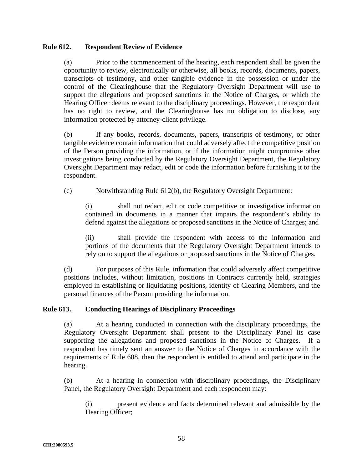## **Rule 612. Respondent Review of Evidence**

(a) Prior to the commencement of the hearing, each respondent shall be given the opportunity to review, electronically or otherwise, all books, records, documents, papers, transcripts of testimony, and other tangible evidence in the possession or under the control of the Clearinghouse that the Regulatory Oversight Department will use to support the allegations and proposed sanctions in the Notice of Charges, or which the Hearing Officer deems relevant to the disciplinary proceedings. However, the respondent has no right to review, and the Clearinghouse has no obligation to disclose, any information protected by attorney-client privilege.

(b) If any books, records, documents, papers, transcripts of testimony, or other tangible evidence contain information that could adversely affect the competitive position of the Person providing the information, or if the information might compromise other investigations being conducted by the Regulatory Oversight Department, the Regulatory Oversight Department may redact, edit or code the information before furnishing it to the respondent.

(c) Notwithstanding Rule 612(b), the Regulatory Oversight Department:

(i) shall not redact, edit or code competitive or investigative information contained in documents in a manner that impairs the respondent's ability to defend against the allegations or proposed sanctions in the Notice of Charges; and

(ii) shall provide the respondent with access to the information and portions of the documents that the Regulatory Oversight Department intends to rely on to support the allegations or proposed sanctions in the Notice of Charges.

(d) For purposes of this Rule, information that could adversely affect competitive positions includes, without limitation, positions in Contracts currently held, strategies employed in establishing or liquidating positions, identity of Clearing Members, and the personal finances of the Person providing the information.

### **Rule 613. Conducting Hearings of Disciplinary Proceedings**

(a) At a hearing conducted in connection with the disciplinary proceedings, the Regulatory Oversight Department shall present to the Disciplinary Panel its case supporting the allegations and proposed sanctions in the Notice of Charges. If a respondent has timely sent an answer to the Notice of Charges in accordance with the requirements of Rule 608, then the respondent is entitled to attend and participate in the hearing.

(b) At a hearing in connection with disciplinary proceedings, the Disciplinary Panel, the Regulatory Oversight Department and each respondent may:

(i) present evidence and facts determined relevant and admissible by the Hearing Officer;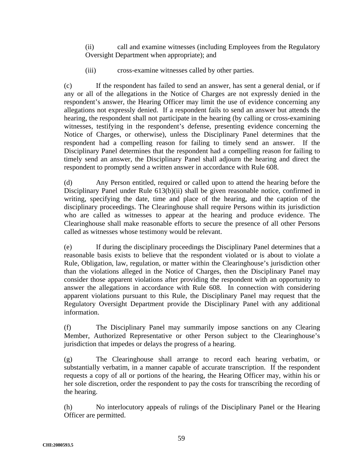(ii) call and examine witnesses (including Employees from the Regulatory Oversight Department when appropriate); and

(iii) cross-examine witnesses called by other parties.

(c) If the respondent has failed to send an answer, has sent a general denial, or if any or all of the allegations in the Notice of Charges are not expressly denied in the respondent's answer, the Hearing Officer may limit the use of evidence concerning any allegations not expressly denied. If a respondent fails to send an answer but attends the hearing, the respondent shall not participate in the hearing (by calling or cross-examining witnesses, testifying in the respondent's defense, presenting evidence concerning the Notice of Charges, or otherwise), unless the Disciplinary Panel determines that the respondent had a compelling reason for failing to timely send an answer. If the Disciplinary Panel determines that the respondent had a compelling reason for failing to timely send an answer, the Disciplinary Panel shall adjourn the hearing and direct the respondent to promptly send a written answer in accordance with Rule 608.

(d) Any Person entitled, required or called upon to attend the hearing before the Disciplinary Panel under Rule 613(b)(ii) shall be given reasonable notice, confirmed in writing, specifying the date, time and place of the hearing, and the caption of the disciplinary proceedings. The Clearinghouse shall require Persons within its jurisdiction who are called as witnesses to appear at the hearing and produce evidence. The Clearinghouse shall make reasonable efforts to secure the presence of all other Persons called as witnesses whose testimony would be relevant.

(e) If during the disciplinary proceedings the Disciplinary Panel determines that a reasonable basis exists to believe that the respondent violated or is about to violate a Rule, Obligation, law, regulation, or matter within the Clearinghouse's jurisdiction other than the violations alleged in the Notice of Charges, then the Disciplinary Panel may consider those apparent violations after providing the respondent with an opportunity to answer the allegations in accordance with Rule 608. In connection with considering apparent violations pursuant to this Rule, the Disciplinary Panel may request that the Regulatory Oversight Department provide the Disciplinary Panel with any additional information.

(f) The Disciplinary Panel may summarily impose sanctions on any Clearing Member, Authorized Representative or other Person subject to the Clearinghouse's jurisdiction that impedes or delays the progress of a hearing.

(g) The Clearinghouse shall arrange to record each hearing verbatim, or substantially verbatim, in a manner capable of accurate transcription. If the respondent requests a copy of all or portions of the hearing, the Hearing Officer may, within his or her sole discretion, order the respondent to pay the costs for transcribing the recording of the hearing.

(h) No interlocutory appeals of rulings of the Disciplinary Panel or the Hearing Officer are permitted.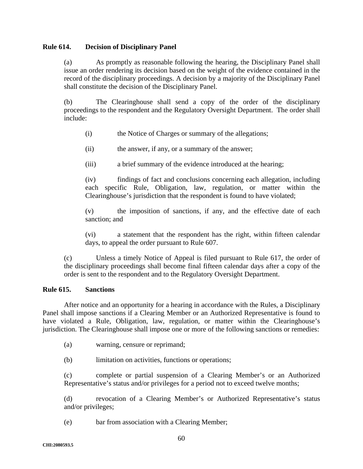### **Rule 614. Decision of Disciplinary Panel**

(a) As promptly as reasonable following the hearing, the Disciplinary Panel shall issue an order rendering its decision based on the weight of the evidence contained in the record of the disciplinary proceedings. A decision by a majority of the Disciplinary Panel shall constitute the decision of the Disciplinary Panel.

(b) The Clearinghouse shall send a copy of the order of the disciplinary proceedings to the respondent and the Regulatory Oversight Department. The order shall include:

- (i) the Notice of Charges or summary of the allegations;
- (ii) the answer, if any, or a summary of the answer;
- (iii) a brief summary of the evidence introduced at the hearing;

(iv) findings of fact and conclusions concerning each allegation, including each specific Rule, Obligation, law, regulation, or matter within the Clearinghouse's jurisdiction that the respondent is found to have violated;

(v) the imposition of sanctions, if any, and the effective date of each sanction; and

(vi) a statement that the respondent has the right, within fifteen calendar days, to appeal the order pursuant to Rule 607.

(c) Unless a timely Notice of Appeal is filed pursuant to Rule 617, the order of the disciplinary proceedings shall become final fifteen calendar days after a copy of the order is sent to the respondent and to the Regulatory Oversight Department.

### **Rule 615. Sanctions**

After notice and an opportunity for a hearing in accordance with the Rules, a Disciplinary Panel shall impose sanctions if a Clearing Member or an Authorized Representative is found to have violated a Rule, Obligation, law, regulation, or matter within the Clearinghouse's jurisdiction. The Clearinghouse shall impose one or more of the following sanctions or remedies:

(a) warning, censure or reprimand;

(b) limitation on activities, functions or operations;

(c) complete or partial suspension of a Clearing Member's or an Authorized Representative's status and/or privileges for a period not to exceed twelve months;

(d) revocation of a Clearing Member's or Authorized Representative's status and/or privileges;

(e) bar from association with a Clearing Member;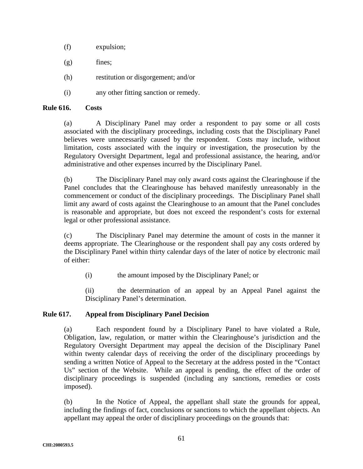- (f) expulsion;
- $(g)$  fines;
- (h) restitution or disgorgement; and/or
- (i) any other fitting sanction or remedy.

## **Rule 616. Costs**

(a) A Disciplinary Panel may order a respondent to pay some or all costs associated with the disciplinary proceedings, including costs that the Disciplinary Panel believes were unnecessarily caused by the respondent. Costs may include, without limitation, costs associated with the inquiry or investigation, the prosecution by the Regulatory Oversight Department, legal and professional assistance, the hearing, and/or administrative and other expenses incurred by the Disciplinary Panel.

(b) The Disciplinary Panel may only award costs against the Clearinghouse if the Panel concludes that the Clearinghouse has behaved manifestly unreasonably in the commencement or conduct of the disciplinary proceedings. The Disciplinary Panel shall limit any award of costs against the Clearinghouse to an amount that the Panel concludes is reasonable and appropriate, but does not exceed the respondent's costs for external legal or other professional assistance.

(c) The Disciplinary Panel may determine the amount of costs in the manner it deems appropriate. The Clearinghouse or the respondent shall pay any costs ordered by the Disciplinary Panel within thirty calendar days of the later of notice by electronic mail of either:

(i) the amount imposed by the Disciplinary Panel; or

(ii) the determination of an appeal by an Appeal Panel against the Disciplinary Panel's determination.

# **Rule 617. Appeal from Disciplinary Panel Decision**

(a) Each respondent found by a Disciplinary Panel to have violated a Rule, Obligation, law, regulation, or matter within the Clearinghouse's jurisdiction and the Regulatory Oversight Department may appeal the decision of the Disciplinary Panel within twenty calendar days of receiving the order of the disciplinary proceedings by sending a written Notice of Appeal to the Secretary at the address posted in the "Contact Us" section of the Website. While an appeal is pending, the effect of the order of disciplinary proceedings is suspended (including any sanctions, remedies or costs imposed).

(b) In the Notice of Appeal, the appellant shall state the grounds for appeal, including the findings of fact, conclusions or sanctions to which the appellant objects. An appellant may appeal the order of disciplinary proceedings on the grounds that: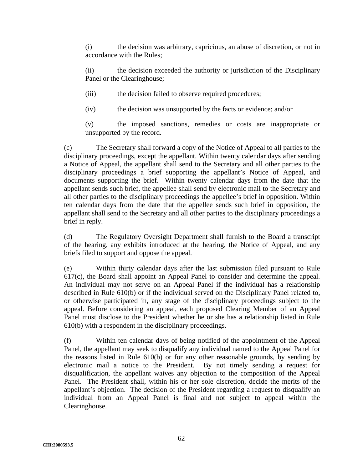(i) the decision was arbitrary, capricious, an abuse of discretion, or not in accordance with the Rules;

(ii) the decision exceeded the authority or jurisdiction of the Disciplinary Panel or the Clearinghouse;

(iii) the decision failed to observe required procedures;

(iv) the decision was unsupported by the facts or evidence; and/or

(v) the imposed sanctions, remedies or costs are inappropriate or unsupported by the record.

(c) The Secretary shall forward a copy of the Notice of Appeal to all parties to the disciplinary proceedings, except the appellant. Within twenty calendar days after sending a Notice of Appeal, the appellant shall send to the Secretary and all other parties to the disciplinary proceedings a brief supporting the appellant's Notice of Appeal, and documents supporting the brief. Within twenty calendar days from the date that the appellant sends such brief, the appellee shall send by electronic mail to the Secretary and all other parties to the disciplinary proceedings the appellee's brief in opposition. Within ten calendar days from the date that the appellee sends such brief in opposition, the appellant shall send to the Secretary and all other parties to the disciplinary proceedings a brief in reply.

(d) The Regulatory Oversight Department shall furnish to the Board a transcript of the hearing, any exhibits introduced at the hearing, the Notice of Appeal, and any briefs filed to support and oppose the appeal.

(e) Within thirty calendar days after the last submission filed pursuant to Rule 617(c), the Board shall appoint an Appeal Panel to consider and determine the appeal. An individual may not serve on an Appeal Panel if the individual has a relationship described in Rule 610(b) or if the individual served on the Disciplinary Panel related to, or otherwise participated in, any stage of the disciplinary proceedings subject to the appeal. Before considering an appeal, each proposed Clearing Member of an Appeal Panel must disclose to the President whether he or she has a relationship listed in Rule 610(b) with a respondent in the disciplinary proceedings.

(f) Within ten calendar days of being notified of the appointment of the Appeal Panel, the appellant may seek to disqualify any individual named to the Appeal Panel for the reasons listed in Rule 610(b) or for any other reasonable grounds, by sending by electronic mail a notice to the President. By not timely sending a request for disqualification, the appellant waives any objection to the composition of the Appeal Panel. The President shall, within his or her sole discretion, decide the merits of the appellant's objection. The decision of the President regarding a request to disqualify an individual from an Appeal Panel is final and not subject to appeal within the Clearinghouse.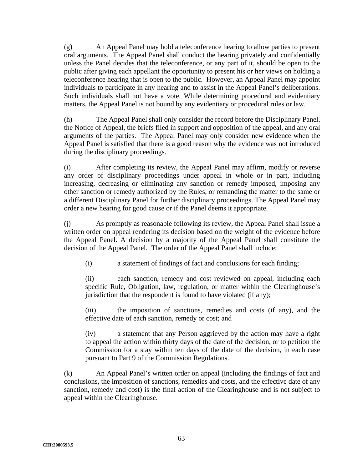(g) An Appeal Panel may hold a teleconference hearing to allow parties to present oral arguments. The Appeal Panel shall conduct the hearing privately and confidentially unless the Panel decides that the teleconference, or any part of it, should be open to the public after giving each appellant the opportunity to present his or her views on holding a teleconference hearing that is open to the public. However, an Appeal Panel may appoint individuals to participate in any hearing and to assist in the Appeal Panel's deliberations. Such individuals shall not have a vote. While determining procedural and evidentiary matters, the Appeal Panel is not bound by any evidentiary or procedural rules or law.

(h) The Appeal Panel shall only consider the record before the Disciplinary Panel, the Notice of Appeal, the briefs filed in support and opposition of the appeal, and any oral arguments of the parties. The Appeal Panel may only consider new evidence when the Appeal Panel is satisfied that there is a good reason why the evidence was not introduced during the disciplinary proceedings.

(i) After completing its review, the Appeal Panel may affirm, modify or reverse any order of disciplinary proceedings under appeal in whole or in part, including increasing, decreasing or eliminating any sanction or remedy imposed, imposing any other sanction or remedy authorized by the Rules, or remanding the matter to the same or a different Disciplinary Panel for further disciplinary proceedings. The Appeal Panel may order a new hearing for good cause or if the Panel deems it appropriate.

(j) As promptly as reasonable following its review, the Appeal Panel shall issue a written order on appeal rendering its decision based on the weight of the evidence before the Appeal Panel. A decision by a majority of the Appeal Panel shall constitute the decision of the Appeal Panel. The order of the Appeal Panel shall include:

(i) a statement of findings of fact and conclusions for each finding;

(ii) each sanction, remedy and cost reviewed on appeal, including each specific Rule, Obligation, law, regulation, or matter within the Clearinghouse's jurisdiction that the respondent is found to have violated (if any);

(iii) the imposition of sanctions, remedies and costs (if any), and the effective date of each sanction, remedy or cost; and

(iv) a statement that any Person aggrieved by the action may have a right to appeal the action within thirty days of the date of the decision, or to petition the Commission for a stay within ten days of the date of the decision, in each case pursuant to Part 9 of the Commission Regulations.

(k) An Appeal Panel's written order on appeal (including the findings of fact and conclusions, the imposition of sanctions, remedies and costs, and the effective date of any sanction, remedy and cost) is the final action of the Clearinghouse and is not subject to appeal within the Clearinghouse.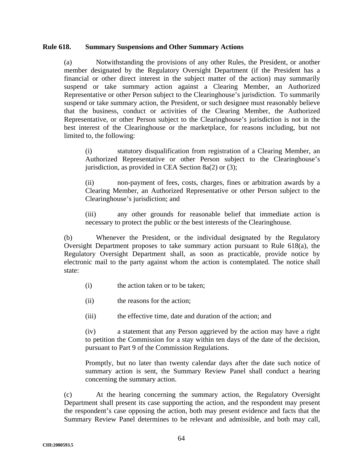#### **Rule 618. Summary Suspensions and Other Summary Actions**

(a) Notwithstanding the provisions of any other Rules, the President, or another member designated by the Regulatory Oversight Department (if the President has a financial or other direct interest in the subject matter of the action) may summarily suspend or take summary action against a Clearing Member, an Authorized Representative or other Person subject to the Clearinghouse's jurisdiction. To summarily suspend or take summary action, the President, or such designee must reasonably believe that the business, conduct or activities of the Clearing Member, the Authorized Representative, or other Person subject to the Clearinghouse's jurisdiction is not in the best interest of the Clearinghouse or the marketplace, for reasons including, but not limited to, the following:

(i) statutory disqualification from registration of a Clearing Member, an Authorized Representative or other Person subject to the Clearinghouse's jurisdiction, as provided in CEA Section 8a(2) or (3);

(ii) non-payment of fees, costs, charges, fines or arbitration awards by a Clearing Member, an Authorized Representative or other Person subject to the Clearinghouse's jurisdiction; and

(iii) any other grounds for reasonable belief that immediate action is necessary to protect the public or the best interests of the Clearinghouse.

(b) Whenever the President, or the individual designated by the Regulatory Oversight Department proposes to take summary action pursuant to Rule 618(a), the Regulatory Oversight Department shall, as soon as practicable, provide notice by electronic mail to the party against whom the action is contemplated. The notice shall state:

- (i) the action taken or to be taken;
- (ii) the reasons for the action;
- (iii) the effective time, date and duration of the action; and

(iv) a statement that any Person aggrieved by the action may have a right to petition the Commission for a stay within ten days of the date of the decision, pursuant to Part 9 of the Commission Regulations.

Promptly, but no later than twenty calendar days after the date such notice of summary action is sent, the Summary Review Panel shall conduct a hearing concerning the summary action.

(c) At the hearing concerning the summary action, the Regulatory Oversight Department shall present its case supporting the action, and the respondent may present the respondent's case opposing the action, both may present evidence and facts that the Summary Review Panel determines to be relevant and admissible, and both may call,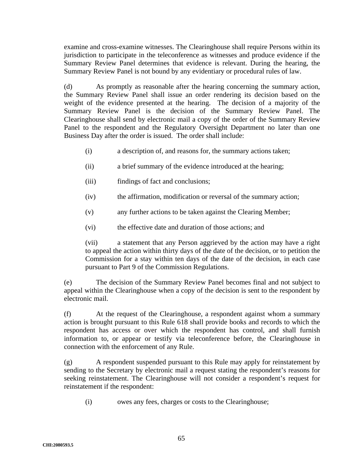examine and cross-examine witnesses. The Clearinghouse shall require Persons within its jurisdiction to participate in the teleconference as witnesses and produce evidence if the Summary Review Panel determines that evidence is relevant. During the hearing, the Summary Review Panel is not bound by any evidentiary or procedural rules of law.

(d) As promptly as reasonable after the hearing concerning the summary action, the Summary Review Panel shall issue an order rendering its decision based on the weight of the evidence presented at the hearing. The decision of a majority of the Summary Review Panel is the decision of the Summary Review Panel. The Clearinghouse shall send by electronic mail a copy of the order of the Summary Review Panel to the respondent and the Regulatory Oversight Department no later than one Business Day after the order is issued. The order shall include:

- (i) a description of, and reasons for, the summary actions taken;
- (ii) a brief summary of the evidence introduced at the hearing;
- (iii) findings of fact and conclusions;
- (iv) the affirmation, modification or reversal of the summary action;
- (v) any further actions to be taken against the Clearing Member;
- (vi) the effective date and duration of those actions; and

(vii) a statement that any Person aggrieved by the action may have a right to appeal the action within thirty days of the date of the decision, or to petition the Commission for a stay within ten days of the date of the decision, in each case pursuant to Part 9 of the Commission Regulations.

(e) The decision of the Summary Review Panel becomes final and not subject to appeal within the Clearinghouse when a copy of the decision is sent to the respondent by electronic mail.

(f) At the request of the Clearinghouse, a respondent against whom a summary action is brought pursuant to this Rule 618 shall provide books and records to which the respondent has access or over which the respondent has control, and shall furnish information to, or appear or testify via teleconference before, the Clearinghouse in connection with the enforcement of any Rule.

(g) A respondent suspended pursuant to this Rule may apply for reinstatement by sending to the Secretary by electronic mail a request stating the respondent's reasons for seeking reinstatement. The Clearinghouse will not consider a respondent's request for reinstatement if the respondent:

(i) owes any fees, charges or costs to the Clearinghouse;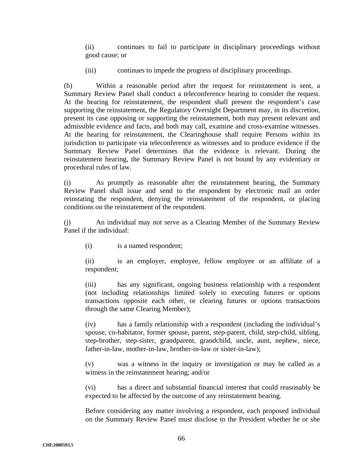(ii) continues to fail to participate in disciplinary proceedings without good cause; or

(iii) continues to impede the progress of disciplinary proceedings.

(h) Within a reasonable period after the request for reinstatement is sent, a Summary Review Panel shall conduct a teleconference hearing to consider the request. At the hearing for reinstatement, the respondent shall present the respondent's case supporting the reinstatement, the Regulatory Oversight Department may, in its discretion, present its case opposing or supporting the reinstatement, both may present relevant and admissible evidence and facts, and both may call, examine and cross-examine witnesses. At the hearing for reinstatement, the Clearinghouse shall require Persons within its jurisdiction to participate via teleconference as witnesses and to produce evidence if the Summary Review Panel determines that the evidence is relevant. During the reinstatement hearing, the Summary Review Panel is not bound by any evidentiary or procedural rules of law.

(i) As promptly as reasonable after the reinstatement hearing, the Summary Review Panel shall issue and send to the respondent by electronic mail an order reinstating the respondent, denying the reinstatement of the respondent, or placing conditions on the reinstatement of the respondent.

(j) An individual may not serve as a Clearing Member of the Summary Review Panel if the individual:

(i) is a named respondent;

(ii) is an employer, employee, fellow employee or an affiliate of a respondent;

(iii) has any significant, ongoing business relationship with a respondent (not including relationships limited solely to executing futures or options transactions opposite each other, or clearing futures or options transactions through the same Clearing Member);

(iv) has a family relationship with a respondent (including the individual's spouse, co-habitator, former spouse, parent, step-parent, child, step-child, sibling, step-brother, step-sister, grandparent, grandchild, uncle, aunt, nephew, niece, father-in-law, mother-in-law, brother-in-law or sister-in-law);

(v) was a witness in the inquiry or investigation or may be called as a witness in the reinstatement hearing; and/or

(vi) has a direct and substantial financial interest that could reasonably be expected to be affected by the outcome of any reinstatement hearing.

Before considering any matter involving a respondent, each proposed individual on the Summary Review Panel must disclose to the President whether he or she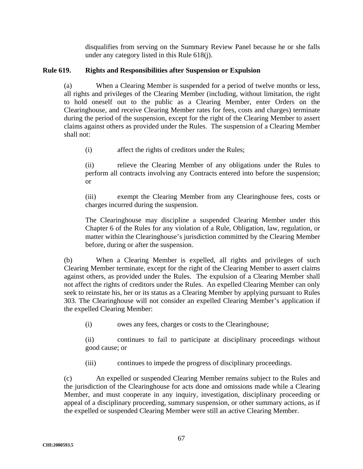disqualifies from serving on the Summary Review Panel because he or she falls under any category listed in this Rule 618(j).

# **Rule 619. Rights and Responsibilities after Suspension or Expulsion**

(a) When a Clearing Member is suspended for a period of twelve months or less, all rights and privileges of the Clearing Member (including, without limitation, the right to hold oneself out to the public as a Clearing Member, enter Orders on the Clearinghouse, and receive Clearing Member rates for fees, costs and charges) terminate during the period of the suspension, except for the right of the Clearing Member to assert claims against others as provided under the Rules. The suspension of a Clearing Member shall not:

(i) affect the rights of creditors under the Rules;

(ii) relieve the Clearing Member of any obligations under the Rules to perform all contracts involving any Contracts entered into before the suspension; or

(iii) exempt the Clearing Member from any Clearinghouse fees, costs or charges incurred during the suspension.

The Clearinghouse may discipline a suspended Clearing Member under this Chapter 6 of the Rules for any violation of a Rule, Obligation, law, regulation, or matter within the Clearinghouse's jurisdiction committed by the Clearing Member before, during or after the suspension.

(b) When a Clearing Member is expelled, all rights and privileges of such Clearing Member terminate, except for the right of the Clearing Member to assert claims against others, as provided under the Rules. The expulsion of a Clearing Member shall not affect the rights of creditors under the Rules. An expelled Clearing Member can only seek to reinstate his, her or its status as a Clearing Member by applying pursuant to Rules 303. The Clearinghouse will not consider an expelled Clearing Member's application if the expelled Clearing Member:

(i) owes any fees, charges or costs to the Clearinghouse;

(ii) continues to fail to participate at disciplinary proceedings without good cause; or

(iii) continues to impede the progress of disciplinary proceedings.

(c) An expelled or suspended Clearing Member remains subject to the Rules and the jurisdiction of the Clearinghouse for acts done and omissions made while a Clearing Member, and must cooperate in any inquiry, investigation, disciplinary proceeding or appeal of a disciplinary proceeding, summary suspension, or other summary actions, as if the expelled or suspended Clearing Member were still an active Clearing Member.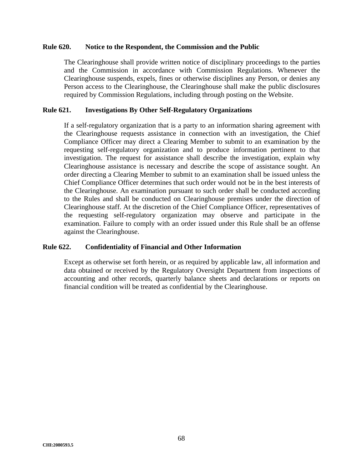#### **Rule 620. Notice to the Respondent, the Commission and the Public**

The Clearinghouse shall provide written notice of disciplinary proceedings to the parties and the Commission in accordance with Commission Regulations. Whenever the Clearinghouse suspends, expels, fines or otherwise disciplines any Person, or denies any Person access to the Clearinghouse, the Clearinghouse shall make the public disclosures required by Commission Regulations, including through posting on the Website.

#### **Rule 621. Investigations By Other Self-Regulatory Organizations**

If a self-regulatory organization that is a party to an information sharing agreement with the Clearinghouse requests assistance in connection with an investigation, the Chief Compliance Officer may direct a Clearing Member to submit to an examination by the requesting self-regulatory organization and to produce information pertinent to that investigation. The request for assistance shall describe the investigation, explain why Clearinghouse assistance is necessary and describe the scope of assistance sought. An order directing a Clearing Member to submit to an examination shall be issued unless the Chief Compliance Officer determines that such order would not be in the best interests of the Clearinghouse. An examination pursuant to such order shall be conducted according to the Rules and shall be conducted on Clearinghouse premises under the direction of Clearinghouse staff. At the discretion of the Chief Compliance Officer, representatives of the requesting self-regulatory organization may observe and participate in the examination. Failure to comply with an order issued under this Rule shall be an offense against the Clearinghouse.

## **Rule 622. Confidentiality of Financial and Other Information**

Except as otherwise set forth herein, or as required by applicable law, all information and data obtained or received by the Regulatory Oversight Department from inspections of accounting and other records, quarterly balance sheets and declarations or reports on financial condition will be treated as confidential by the Clearinghouse.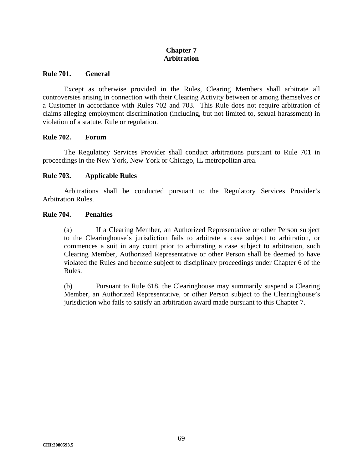# **Chapter 7 Arbitration**

#### **Rule 701. General**

Except as otherwise provided in the Rules, Clearing Members shall arbitrate all controversies arising in connection with their Clearing Activity between or among themselves or a Customer in accordance with Rules 702 and 703. This Rule does not require arbitration of claims alleging employment discrimination (including, but not limited to, sexual harassment) in violation of a statute, Rule or regulation.

#### **Rule 702. Forum**

The Regulatory Services Provider shall conduct arbitrations pursuant to Rule 701 in proceedings in the New York, New York or Chicago, IL metropolitan area.

## **Rule 703. Applicable Rules**

Arbitrations shall be conducted pursuant to the Regulatory Services Provider's Arbitration Rules.

#### **Rule 704. Penalties**

(a) If a Clearing Member, an Authorized Representative or other Person subject to the Clearinghouse's jurisdiction fails to arbitrate a case subject to arbitration, or commences a suit in any court prior to arbitrating a case subject to arbitration, such Clearing Member, Authorized Representative or other Person shall be deemed to have violated the Rules and become subject to disciplinary proceedings under Chapter 6 of the Rules.

(b) Pursuant to Rule 618, the Clearinghouse may summarily suspend a Clearing Member, an Authorized Representative, or other Person subject to the Clearinghouse's jurisdiction who fails to satisfy an arbitration award made pursuant to this Chapter 7.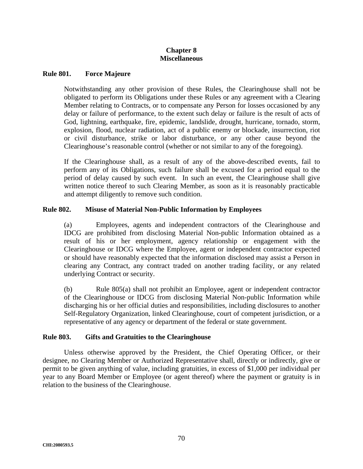# **Chapter 8 Miscellaneous**

#### **Rule 801. Force Majeure**

Notwithstanding any other provision of these Rules, the Clearinghouse shall not be obligated to perform its Obligations under these Rules or any agreement with a Clearing Member relating to Contracts, or to compensate any Person for losses occasioned by any delay or failure of performance, to the extent such delay or failure is the result of acts of God, lightning, earthquake, fire, epidemic, landslide, drought, hurricane, tornado, storm, explosion, flood, nuclear radiation, act of a public enemy or blockade, insurrection, riot or civil disturbance, strike or labor disturbance, or any other cause beyond the Clearinghouse's reasonable control (whether or not similar to any of the foregoing).

If the Clearinghouse shall, as a result of any of the above-described events, fail to perform any of its Obligations, such failure shall be excused for a period equal to the period of delay caused by such event. In such an event, the Clearinghouse shall give written notice thereof to such Clearing Member, as soon as it is reasonably practicable and attempt diligently to remove such condition.

## **Rule 802. Misuse of Material Non-Public Information by Employees**

(a) Employees, agents and independent contractors of the Clearinghouse and IDCG are prohibited from disclosing Material Non-public Information obtained as a result of his or her employment, agency relationship or engagement with the Clearinghouse or IDCG where the Employee, agent or independent contractor expected or should have reasonably expected that the information disclosed may assist a Person in clearing any Contract, any contract traded on another trading facility, or any related underlying Contract or security.

(b) Rule 805(a) shall not prohibit an Employee, agent or independent contractor of the Clearinghouse or IDCG from disclosing Material Non-public Information while discharging his or her official duties and responsibilities, including disclosures to another Self-Regulatory Organization, linked Clearinghouse, court of competent jurisdiction, or a representative of any agency or department of the federal or state government.

## **Rule 803. Gifts and Gratuities to the Clearinghouse**

Unless otherwise approved by the President, the Chief Operating Officer, or their designee, no Clearing Member or Authorized Representative shall, directly or indirectly, give or permit to be given anything of value, including gratuities, in excess of \$1,000 per individual per year to any Board Member or Employee (or agent thereof) where the payment or gratuity is in relation to the business of the Clearinghouse.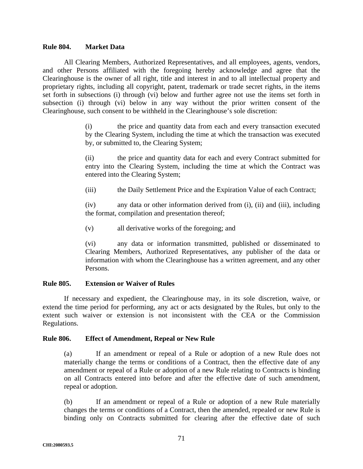#### **Rule 804. Market Data**

All Clearing Members, Authorized Representatives, and all employees, agents, vendors, and other Persons affiliated with the foregoing hereby acknowledge and agree that the Clearinghouse is the owner of all right, title and interest in and to all intellectual property and proprietary rights, including all copyright, patent, trademark or trade secret rights, in the items set forth in subsections (i) through (vi) below and further agree not use the items set forth in subsection (i) through (vi) below in any way without the prior written consent of the Clearinghouse, such consent to be withheld in the Clearinghouse's sole discretion:

> (i) the price and quantity data from each and every transaction executed by the Clearing System, including the time at which the transaction was executed by, or submitted to, the Clearing System;

> (ii) the price and quantity data for each and every Contract submitted for entry into the Clearing System, including the time at which the Contract was entered into the Clearing System;

(iii) the Daily Settlement Price and the Expiration Value of each Contract;

(iv) any data or other information derived from (i), (ii) and (iii), including the format, compilation and presentation thereof;

(v) all derivative works of the foregoing; and

(vi) any data or information transmitted, published or disseminated to Clearing Members, Authorized Representatives, any publisher of the data or information with whom the Clearinghouse has a written agreement, and any other Persons.

## **Rule 805. Extension or Waiver of Rules**

If necessary and expedient, the Clearinghouse may, in its sole discretion, waive, or extend the time period for performing, any act or acts designated by the Rules, but only to the extent such waiver or extension is not inconsistent with the CEA or the Commission Regulations.

## **Rule 806. Effect of Amendment, Repeal or New Rule**

(a) If an amendment or repeal of a Rule or adoption of a new Rule does not materially change the terms or conditions of a Contract, then the effective date of any amendment or repeal of a Rule or adoption of a new Rule relating to Contracts is binding on all Contracts entered into before and after the effective date of such amendment, repeal or adoption.

(b) If an amendment or repeal of a Rule or adoption of a new Rule materially changes the terms or conditions of a Contract, then the amended, repealed or new Rule is binding only on Contracts submitted for clearing after the effective date of such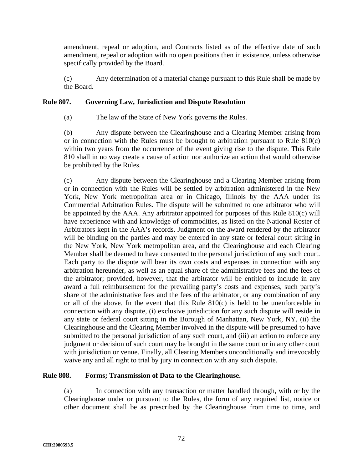amendment, repeal or adoption, and Contracts listed as of the effective date of such amendment, repeal or adoption with no open positions then in existence, unless otherwise specifically provided by the Board.

(c) Any determination of a material change pursuant to this Rule shall be made by the Board.

# **Rule 807. Governing Law, Jurisdiction and Dispute Resolution**

(a) The law of the State of New York governs the Rules.

(b) Any dispute between the Clearinghouse and a Clearing Member arising from or in connection with the Rules must be brought to arbitration pursuant to Rule 810(c) within two years from the occurrence of the event giving rise to the dispute. This Rule 810 shall in no way create a cause of action nor authorize an action that would otherwise be prohibited by the Rules.

(c) Any dispute between the Clearinghouse and a Clearing Member arising from or in connection with the Rules will be settled by arbitration administered in the New York, New York metropolitan area or in Chicago, Illinois by the AAA under its Commercial Arbitration Rules. The dispute will be submitted to one arbitrator who will be appointed by the AAA. Any arbitrator appointed for purposes of this Rule 810(c) will have experience with and knowledge of commodities, as listed on the National Roster of Arbitrators kept in the AAA's records. Judgment on the award rendered by the arbitrator will be binding on the parties and may be entered in any state or federal court sitting in the New York, New York metropolitan area, and the Clearinghouse and each Clearing Member shall be deemed to have consented to the personal jurisdiction of any such court. Each party to the dispute will bear its own costs and expenses in connection with any arbitration hereunder, as well as an equal share of the administrative fees and the fees of the arbitrator; provided, however, that the arbitrator will be entitled to include in any award a full reimbursement for the prevailing party's costs and expenses, such party's share of the administrative fees and the fees of the arbitrator, or any combination of any or all of the above. In the event that this Rule  $810(c)$  is held to be unenforceable in connection with any dispute, (i) exclusive jurisdiction for any such dispute will reside in any state or federal court sitting in the Borough of Manhattan, New York, NY, (ii) the Clearinghouse and the Clearing Member involved in the dispute will be presumed to have submitted to the personal jurisdiction of any such court, and (iii) an action to enforce any judgment or decision of such court may be brought in the same court or in any other court with jurisdiction or venue. Finally, all Clearing Members unconditionally and irrevocably waive any and all right to trial by jury in connection with any such dispute.

# **Rule 808. Forms; Transmission of Data to the Clearinghouse.**

(a) In connection with any transaction or matter handled through, with or by the Clearinghouse under or pursuant to the Rules, the form of any required list, notice or other document shall be as prescribed by the Clearinghouse from time to time, and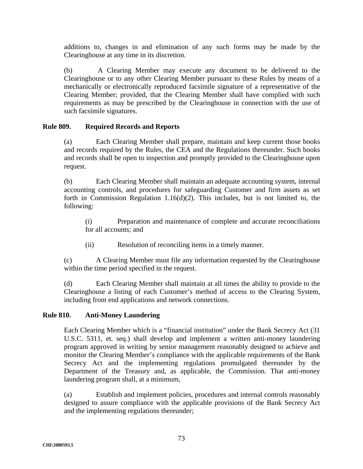additions to, changes in and elimination of any such forms may be made by the Clearinghouse at any time in its discretion.

(b) A Clearing Member may execute any document to be delivered to the Clearinghouse or to any other Clearing Member pursuant to these Rules by means of a mechanically or electronically reproduced facsimile signature of a representative of the Clearing Member; provided, that the Clearing Member shall have complied with such requirements as may be prescribed by the Clearinghouse in connection with the use of such facsimile signatures.

# **Rule 809. Required Records and Reports**

(a) Each Clearing Member shall prepare, maintain and keep current those books and records required by the Rules, the CEA and the Regulations thereunder. Such books and records shall be open to inspection and promptly provided to the Clearinghouse upon request.

(b) Each Clearing Member shall maintain an adequate accounting system, internal accounting controls, and procedures for safeguarding Customer and firm assets as set forth in Commission Regulation 1.16(d)(2). This includes, but is not limited to, the following:

(i) Preparation and maintenance of complete and accurate reconciliations for all accounts; and

(ii) Resolution of reconciling items in a timely manner.

(c) A Clearing Member must file any information requested by the Clearinghouse within the time period specified in the request.

(d) Each Clearing Member shall maintain at all times the ability to provide to the Clearinghouse a listing of each Customer's method of access to the Clearing System, including front end applications and network connections.

## **Rule 810. Anti-Money Laundering**

Each Clearing Member which is a "financial institution" under the Bank Secrecy Act (31 U.S.C. 5311, et. seq.) shall develop and implement a written anti-money laundering program approved in writing by senior management reasonably designed to achieve and monitor the Clearing Member's compliance with the applicable requirements of the Bank Secrecy Act and the implementing regulations promulgated thereunder by the Department of the Treasury and, as applicable, the Commission. That anti-money laundering program shall, at a minimum,

(a) Establish and implement policies, procedures and internal controls reasonably designed to assure compliance with the applicable provisions of the Bank Secrecy Act and the implementing regulations thereunder;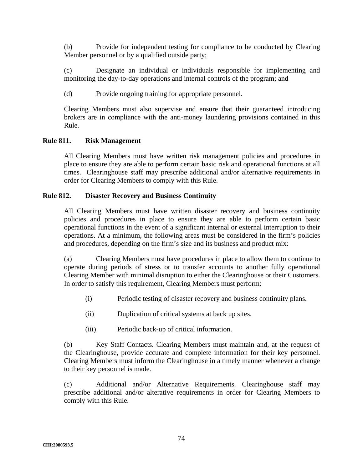(b) Provide for independent testing for compliance to be conducted by Clearing Member personnel or by a qualified outside party;

(c) Designate an individual or individuals responsible for implementing and monitoring the day-to-day operations and internal controls of the program; and

(d) Provide ongoing training for appropriate personnel.

Clearing Members must also supervise and ensure that their guaranteed introducing brokers are in compliance with the anti-money laundering provisions contained in this Rule.

# **Rule 811. Risk Management**

All Clearing Members must have written risk management policies and procedures in place to ensure they are able to perform certain basic risk and operational functions at all times. Clearinghouse staff may prescribe additional and/or alternative requirements in order for Clearing Members to comply with this Rule.

## **Rule 812. Disaster Recovery and Business Continuity**

All Clearing Members must have written disaster recovery and business continuity policies and procedures in place to ensure they are able to perform certain basic operational functions in the event of a significant internal or external interruption to their operations. At a minimum, the following areas must be considered in the firm's policies and procedures, depending on the firm's size and its business and product mix:

(a) Clearing Members must have procedures in place to allow them to continue to operate during periods of stress or to transfer accounts to another fully operational Clearing Member with minimal disruption to either the Clearinghouse or their Customers. In order to satisfy this requirement, Clearing Members must perform:

- (i) Periodic testing of disaster recovery and business continuity plans.
- (ii) Duplication of critical systems at back up sites.
- (iii) Periodic back-up of critical information.

(b) Key Staff Contacts. Clearing Members must maintain and, at the request of the Clearinghouse, provide accurate and complete information for their key personnel. Clearing Members must inform the Clearinghouse in a timely manner whenever a change to their key personnel is made.

(c) Additional and/or Alternative Requirements. Clearinghouse staff may prescribe additional and/or alterative requirements in order for Clearing Members to comply with this Rule.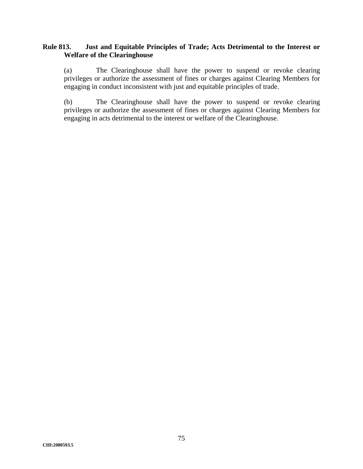# **Rule 813. Just and Equitable Principles of Trade; Acts Detrimental to the Interest or Welfare of the Clearinghouse**

(a) The Clearinghouse shall have the power to suspend or revoke clearing privileges or authorize the assessment of fines or charges against Clearing Members for engaging in conduct inconsistent with just and equitable principles of trade.

(b) The Clearinghouse shall have the power to suspend or revoke clearing privileges or authorize the assessment of fines or charges against Clearing Members for engaging in acts detrimental to the interest or welfare of the Clearinghouse.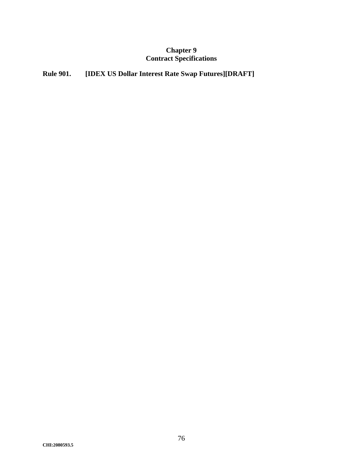# **Chapter 9 Contract Specifications**

# **Rule 901. [IDEX US Dollar Interest Rate Swap Futures][DRAFT]**